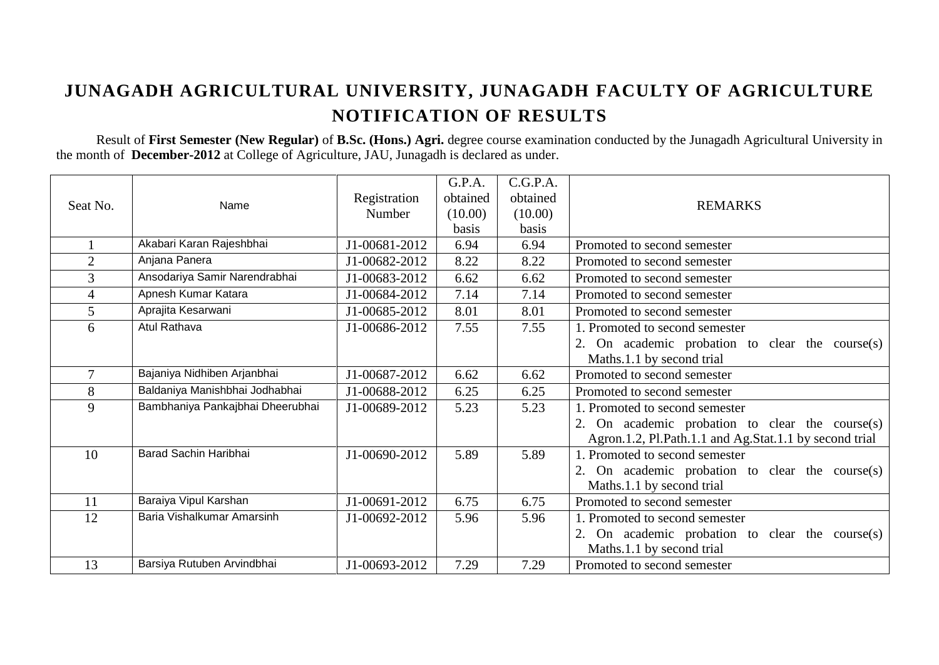## **JUNAGADH AGRICULTURAL UNIVERSITY, JUNAGADH FACULTY OF AGRICULTURE NOTIFICATION OF RESULTS**

Result of **First Semester (New Regular)** of **B.Sc. (Hons.) Agri.** degree course examination conducted by the Junagadh Agricultural University in the month of **December-2012** at College of Agriculture, JAU, Junagadh is declared as under.

|                |                                  |               | G.P.A.   | C.G.P.A. |                                                        |
|----------------|----------------------------------|---------------|----------|----------|--------------------------------------------------------|
|                |                                  | Registration  | obtained | obtained |                                                        |
| Seat No.       | Name                             | Number        | (10.00)  | (10.00)  | <b>REMARKS</b>                                         |
|                |                                  |               | basis    | basis    |                                                        |
|                | Akabari Karan Rajeshbhai         | J1-00681-2012 | 6.94     | 6.94     | Promoted to second semester                            |
| $\overline{2}$ | Anjana Panera                    | J1-00682-2012 | 8.22     | 8.22     | Promoted to second semester                            |
| 3              | Ansodariya Samir Narendrabhai    | J1-00683-2012 | 6.62     | 6.62     | Promoted to second semester                            |
| 4              | Apnesh Kumar Katara              | J1-00684-2012 | 7.14     | 7.14     | Promoted to second semester                            |
| 5              | Aprajita Kesarwani               | J1-00685-2012 | 8.01     | 8.01     | Promoted to second semester                            |
| 6              | Atul Rathava                     | J1-00686-2012 | 7.55     | 7.55     | 1. Promoted to second semester                         |
|                |                                  |               |          |          | 2. On academic probation to clear the course(s)        |
|                |                                  |               |          |          | Maths.1.1 by second trial                              |
| $\overline{7}$ | Bajaniya Nidhiben Arjanbhai      | J1-00687-2012 | 6.62     | 6.62     | Promoted to second semester                            |
| 8              | Baldaniya Manishbhai Jodhabhai   | J1-00688-2012 | 6.25     | 6.25     | Promoted to second semester                            |
| 9              | Bambhaniya Pankajbhai Dheerubhai | J1-00689-2012 | 5.23     | 5.23     | 1. Promoted to second semester                         |
|                |                                  |               |          |          | 2. On academic probation to clear the course(s)        |
|                |                                  |               |          |          | Agron.1.2, Pl.Path.1.1 and Ag.Stat.1.1 by second trial |
| 10             | Barad Sachin Haribhai            | J1-00690-2012 | 5.89     | 5.89     | 1. Promoted to second semester                         |
|                |                                  |               |          |          | 2. On academic probation to clear the course(s)        |
|                |                                  |               |          |          | Maths.1.1 by second trial                              |
| 11             | Baraiya Vipul Karshan            | J1-00691-2012 | 6.75     | 6.75     | Promoted to second semester                            |
| 12             | Baria Vishalkumar Amarsinh       | J1-00692-2012 | 5.96     | 5.96     | 1. Promoted to second semester                         |
|                |                                  |               |          |          | 2. On academic probation to clear the course(s)        |
|                |                                  |               |          |          | Maths.1.1 by second trial                              |
| 13             | Barsiya Rutuben Arvindbhai       | J1-00693-2012 | 7.29     | 7.29     | Promoted to second semester                            |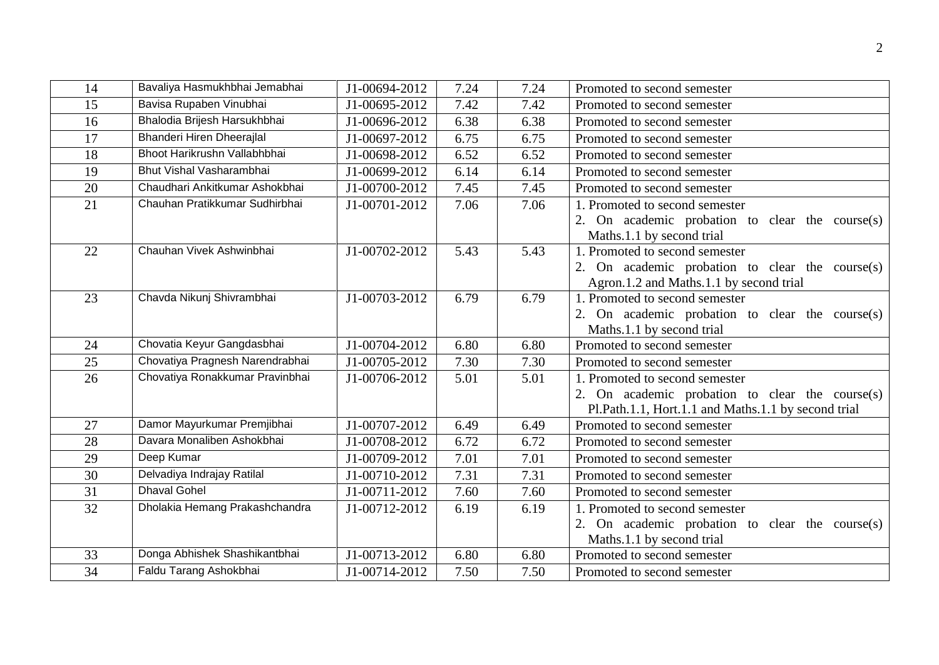| 14 | Bavaliya Hasmukhbhai Jemabhai   | J1-00694-2012 | 7.24 | 7.24 | Promoted to second semester                         |
|----|---------------------------------|---------------|------|------|-----------------------------------------------------|
| 15 | Bavisa Rupaben Vinubhai         | J1-00695-2012 | 7.42 | 7.42 | Promoted to second semester                         |
| 16 | Bhalodia Brijesh Harsukhbhai    | J1-00696-2012 | 6.38 | 6.38 | Promoted to second semester                         |
| 17 | Bhanderi Hiren Dheerajlal       | J1-00697-2012 | 6.75 | 6.75 | Promoted to second semester                         |
| 18 | Bhoot Harikrushn Vallabhbhai    | J1-00698-2012 | 6.52 | 6.52 | Promoted to second semester                         |
| 19 | Bhut Vishal Vasharambhai        | J1-00699-2012 | 6.14 | 6.14 | Promoted to second semester                         |
| 20 | Chaudhari Ankitkumar Ashokbhai  | J1-00700-2012 | 7.45 | 7.45 | Promoted to second semester                         |
| 21 | Chauhan Pratikkumar Sudhirbhai  | J1-00701-2012 | 7.06 | 7.06 | 1. Promoted to second semester                      |
|    |                                 |               |      |      | 2. On academic probation to clear the course(s)     |
|    |                                 |               |      |      | Maths.1.1 by second trial                           |
| 22 | Chauhan Vivek Ashwinbhai        | J1-00702-2012 | 5.43 | 5.43 | 1. Promoted to second semester                      |
|    |                                 |               |      |      | 2. On academic probation to clear the course(s)     |
|    |                                 |               |      |      | Agron.1.2 and Maths.1.1 by second trial             |
| 23 | Chavda Nikunj Shivrambhai       | J1-00703-2012 | 6.79 | 6.79 | 1. Promoted to second semester                      |
|    |                                 |               |      |      | 2. On academic probation to clear the course $(s)$  |
|    |                                 |               |      |      | Maths.1.1 by second trial                           |
| 24 | Chovatia Keyur Gangdasbhai      | J1-00704-2012 | 6.80 | 6.80 | Promoted to second semester                         |
| 25 | Chovatiya Pragnesh Narendrabhai | J1-00705-2012 | 7.30 | 7.30 | Promoted to second semester                         |
| 26 | Chovatiya Ronakkumar Pravinbhai | J1-00706-2012 | 5.01 | 5.01 | 1. Promoted to second semester                      |
|    |                                 |               |      |      | 2. On academic probation to clear the course(s)     |
|    |                                 |               |      |      | Pl.Path.1.1, Hort.1.1 and Maths.1.1 by second trial |
| 27 | Damor Mayurkumar Premjibhai     | J1-00707-2012 | 6.49 | 6.49 | Promoted to second semester                         |
| 28 | Davara Monaliben Ashokbhai      | J1-00708-2012 | 6.72 | 6.72 | Promoted to second semester                         |
| 29 | Deep Kumar                      | J1-00709-2012 | 7.01 | 7.01 | Promoted to second semester                         |
| 30 | Delvadiya Indrajay Ratilal      | J1-00710-2012 | 7.31 | 7.31 | Promoted to second semester                         |
| 31 | <b>Dhaval Gohel</b>             | J1-00711-2012 | 7.60 | 7.60 | Promoted to second semester                         |
| 32 | Dholakia Hemang Prakashchandra  | J1-00712-2012 | 6.19 | 6.19 | 1. Promoted to second semester                      |
|    |                                 |               |      |      | 2. On academic probation to clear the course(s)     |
|    |                                 |               |      |      | Maths.1.1 by second trial                           |
| 33 | Donga Abhishek Shashikantbhai   | J1-00713-2012 | 6.80 | 6.80 | Promoted to second semester                         |
| 34 | Faldu Tarang Ashokbhai          | J1-00714-2012 | 7.50 | 7.50 | Promoted to second semester                         |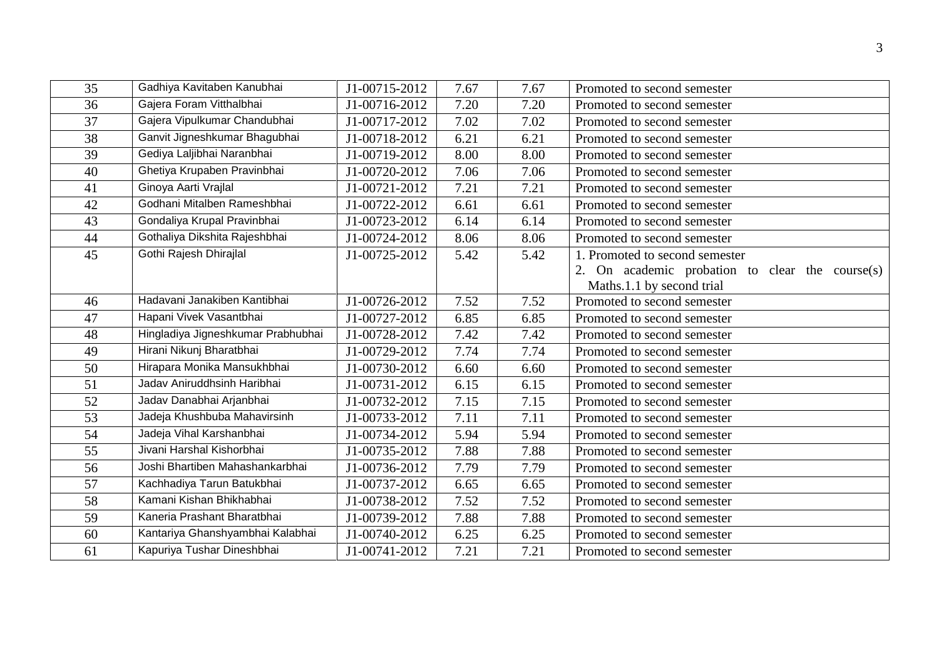| 35 | Gadhiya Kavitaben Kanubhai         | J1-00715-2012 | 7.67 | 7.67 | Promoted to second semester                                                  |
|----|------------------------------------|---------------|------|------|------------------------------------------------------------------------------|
| 36 | Gajera Foram Vitthalbhai           | J1-00716-2012 | 7.20 | 7.20 | Promoted to second semester                                                  |
| 37 | Gajera Vipulkumar Chandubhai       | J1-00717-2012 | 7.02 | 7.02 | Promoted to second semester                                                  |
| 38 | Ganvit Jigneshkumar Bhagubhai      | J1-00718-2012 | 6.21 | 6.21 | Promoted to second semester                                                  |
| 39 | Gediya Laljibhai Naranbhai         | J1-00719-2012 | 8.00 | 8.00 | Promoted to second semester                                                  |
| 40 | Ghetiya Krupaben Pravinbhai        | J1-00720-2012 | 7.06 | 7.06 | Promoted to second semester                                                  |
| 41 | Ginoya Aarti Vrajlal               | J1-00721-2012 | 7.21 | 7.21 | Promoted to second semester                                                  |
| 42 | Godhani Mitalben Rameshbhai        | J1-00722-2012 | 6.61 | 6.61 | Promoted to second semester                                                  |
| 43 | Gondaliya Krupal Pravinbhai        | J1-00723-2012 | 6.14 | 6.14 | Promoted to second semester                                                  |
| 44 | Gothaliya Dikshita Rajeshbhai      | J1-00724-2012 | 8.06 | 8.06 | Promoted to second semester                                                  |
| 45 | Gothi Rajesh Dhirajlal             | J1-00725-2012 | 5.42 | 5.42 | 1. Promoted to second semester                                               |
|    |                                    |               |      |      | 2. On academic probation to clear the course(s)<br>Maths.1.1 by second trial |
| 46 | Hadavani Janakiben Kantibhai       | J1-00726-2012 | 7.52 | 7.52 | Promoted to second semester                                                  |
| 47 | Hapani Vivek Vasantbhai            | J1-00727-2012 | 6.85 | 6.85 | Promoted to second semester                                                  |
| 48 | Hingladiya Jigneshkumar Prabhubhai | J1-00728-2012 | 7.42 | 7.42 | Promoted to second semester                                                  |
| 49 | Hirani Nikunj Bharatbhai           | J1-00729-2012 | 7.74 | 7.74 | Promoted to second semester                                                  |
| 50 | Hirapara Monika Mansukhbhai        | J1-00730-2012 | 6.60 | 6.60 | Promoted to second semester                                                  |
| 51 | Jaday Aniruddhsinh Haribhai        | J1-00731-2012 | 6.15 | 6.15 | Promoted to second semester                                                  |
| 52 | Jadav Danabhai Arjanbhai           | J1-00732-2012 | 7.15 | 7.15 | Promoted to second semester                                                  |
| 53 | Jadeja Khushbuba Mahavirsinh       | J1-00733-2012 | 7.11 | 7.11 | Promoted to second semester                                                  |
| 54 | Jadeja Vihal Karshanbhai           | J1-00734-2012 | 5.94 | 5.94 | Promoted to second semester                                                  |
| 55 | Jivani Harshal Kishorbhai          | J1-00735-2012 | 7.88 | 7.88 | Promoted to second semester                                                  |
| 56 | Joshi Bhartiben Mahashankarbhai    | J1-00736-2012 | 7.79 | 7.79 | Promoted to second semester                                                  |
| 57 | Kachhadiya Tarun Batukbhai         | J1-00737-2012 | 6.65 | 6.65 | Promoted to second semester                                                  |
| 58 | Kamani Kishan Bhikhabhai           | J1-00738-2012 | 7.52 | 7.52 | Promoted to second semester                                                  |
| 59 | Kaneria Prashant Bharatbhai        | J1-00739-2012 | 7.88 | 7.88 | Promoted to second semester                                                  |
| 60 | Kantariya Ghanshyambhai Kalabhai   | J1-00740-2012 | 6.25 | 6.25 | Promoted to second semester                                                  |
| 61 | Kapuriya Tushar Dineshbhai         | J1-00741-2012 | 7.21 | 7.21 | Promoted to second semester                                                  |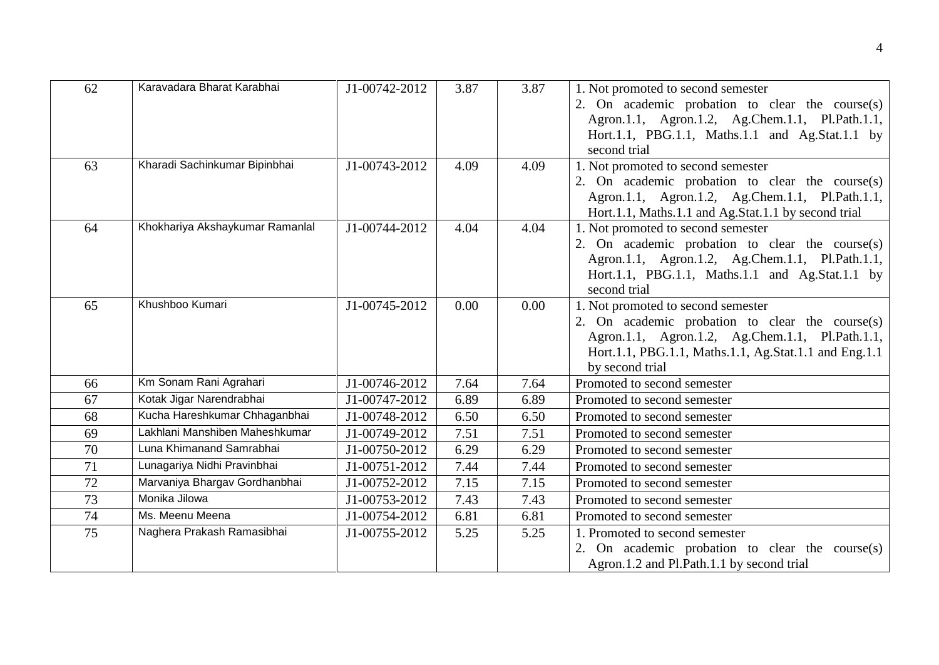| 62 | Karavadara Bharat Karabhai      | J1-00742-2012 | 3.87              | 3.87 | 1. Not promoted to second semester                    |
|----|---------------------------------|---------------|-------------------|------|-------------------------------------------------------|
|    |                                 |               |                   |      | 2. On academic probation to clear the course $(s)$    |
|    |                                 |               |                   |      | Agron.1.1, Agron.1.2, Ag.Chem.1.1, Pl.Path.1.1,       |
|    |                                 |               |                   |      | Hort.1.1, PBG.1.1, Maths.1.1 and Ag.Stat.1.1 by       |
|    |                                 |               |                   |      | second trial                                          |
| 63 | Kharadi Sachinkumar Bipinbhai   | J1-00743-2012 | 4.09              | 4.09 | 1. Not promoted to second semester                    |
|    |                                 |               |                   |      | 2. On academic probation to clear the course(s)       |
|    |                                 |               |                   |      | Agron.1.1, Agron.1.2, Ag.Chem.1.1, Pl.Path.1.1,       |
|    |                                 |               |                   |      | Hort.1.1, Maths.1.1 and Ag.Stat.1.1 by second trial   |
| 64 | Khokhariya Akshaykumar Ramanlal | J1-00744-2012 | 4.04              | 4.04 | 1. Not promoted to second semester                    |
|    |                                 |               |                   |      | 2. On academic probation to clear the course(s)       |
|    |                                 |               |                   |      | Agron.1.1, Agron.1.2, Ag.Chem.1.1, Pl.Path.1.1,       |
|    |                                 |               |                   |      | Hort.1.1, PBG.1.1, Maths.1.1 and Ag.Stat.1.1 by       |
|    |                                 |               |                   |      | second trial                                          |
| 65 | Khushboo Kumari                 | J1-00745-2012 | 0.00              | 0.00 | 1. Not promoted to second semester                    |
|    |                                 |               |                   |      | 2. On academic probation to clear the course(s)       |
|    |                                 |               |                   |      | Agron.1.1, Agron.1.2, Ag.Chem.1.1, Pl.Path.1.1,       |
|    |                                 |               |                   |      | Hort.1.1, PBG.1.1, Maths.1.1, Ag.Stat.1.1 and Eng.1.1 |
|    |                                 |               |                   |      | by second trial                                       |
| 66 | Km Sonam Rani Agrahari          | J1-00746-2012 | 7.64              | 7.64 | Promoted to second semester                           |
| 67 | Kotak Jigar Narendrabhai        | J1-00747-2012 | 6.89              | 6.89 | Promoted to second semester                           |
| 68 | Kucha Hareshkumar Chhaganbhai   | J1-00748-2012 | 6.50              | 6.50 | Promoted to second semester                           |
| 69 | Lakhlani Manshiben Maheshkumar  | J1-00749-2012 | $\overline{7.51}$ | 7.51 | Promoted to second semester                           |
| 70 | Luna Khimanand Samrabhai        | J1-00750-2012 | 6.29              | 6.29 | Promoted to second semester                           |
| 71 | Lunagariya Nidhi Pravinbhai     | J1-00751-2012 | 7.44              | 7.44 | Promoted to second semester                           |
| 72 | Marvaniya Bhargav Gordhanbhai   | J1-00752-2012 | 7.15              | 7.15 | Promoted to second semester                           |
| 73 | Monika Jilowa                   | J1-00753-2012 | 7.43              | 7.43 | Promoted to second semester                           |
| 74 | Ms. Meenu Meena                 | J1-00754-2012 | 6.81              | 6.81 | Promoted to second semester                           |
| 75 | Naghera Prakash Ramasibhai      | J1-00755-2012 | 5.25              | 5.25 | 1. Promoted to second semester                        |
|    |                                 |               |                   |      | On academic probation to clear the course $(s)$<br>2. |
|    |                                 |               |                   |      | Agron.1.2 and Pl.Path.1.1 by second trial             |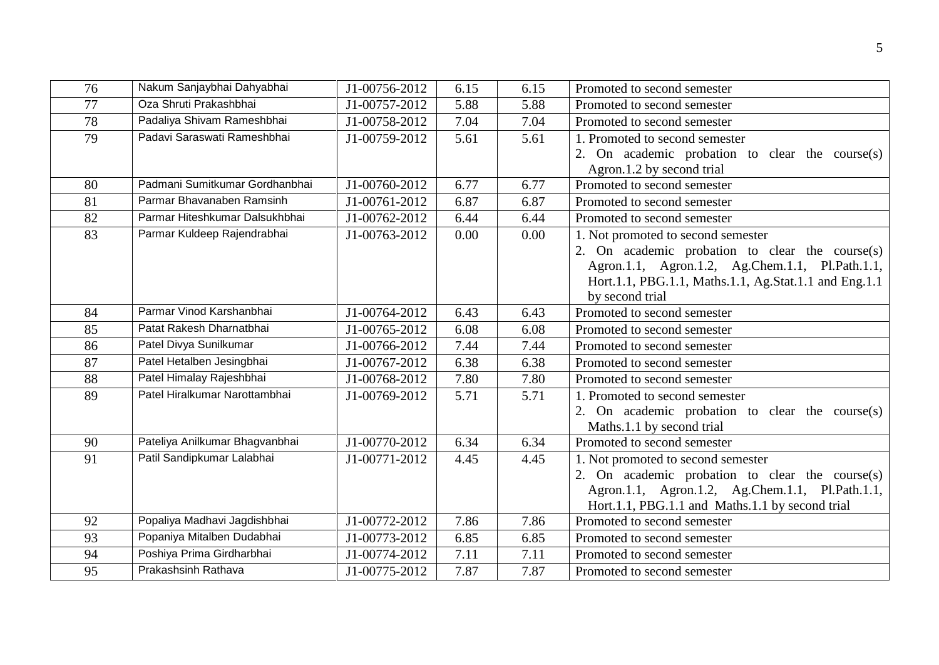| 76              | Nakum Sanjaybhai Dahyabhai     | J1-00756-2012 | 6.15 | 6.15 | Promoted to second semester                           |
|-----------------|--------------------------------|---------------|------|------|-------------------------------------------------------|
| 77              | Oza Shruti Prakashbhai         | J1-00757-2012 | 5.88 | 5.88 | Promoted to second semester                           |
| 78              | Padaliya Shivam Rameshbhai     | J1-00758-2012 | 7.04 | 7.04 | Promoted to second semester                           |
| 79              | Padavi Saraswati Rameshbhai    | J1-00759-2012 | 5.61 | 5.61 | 1. Promoted to second semester                        |
|                 |                                |               |      |      | 2. On academic probation to clear the course(s)       |
|                 |                                |               |      |      | Agron.1.2 by second trial                             |
| 80              | Padmani Sumitkumar Gordhanbhai | J1-00760-2012 | 6.77 | 6.77 | Promoted to second semester                           |
| 81              | Parmar Bhavanaben Ramsinh      | J1-00761-2012 | 6.87 | 6.87 | Promoted to second semester                           |
| 82              | Parmar Hiteshkumar Dalsukhbhai | J1-00762-2012 | 6.44 | 6.44 | Promoted to second semester                           |
| $\overline{83}$ | Parmar Kuldeep Rajendrabhai    | J1-00763-2012 | 0.00 | 0.00 | 1. Not promoted to second semester                    |
|                 |                                |               |      |      | 2. On academic probation to clear the course(s)       |
|                 |                                |               |      |      | Agron.1.1, Agron.1.2, Ag.Chem.1.1, Pl.Path.1.1,       |
|                 |                                |               |      |      | Hort.1.1, PBG.1.1, Maths.1.1, Ag.Stat.1.1 and Eng.1.1 |
|                 |                                |               |      |      | by second trial                                       |
| 84              | Parmar Vinod Karshanbhai       | J1-00764-2012 | 6.43 | 6.43 | Promoted to second semester                           |
| 85              | Patat Rakesh Dharnatbhai       | J1-00765-2012 | 6.08 | 6.08 | Promoted to second semester                           |
| 86              | Patel Divya Sunilkumar         | J1-00766-2012 | 7.44 | 7.44 | Promoted to second semester                           |
| 87              | Patel Hetalben Jesingbhai      | J1-00767-2012 | 6.38 | 6.38 | Promoted to second semester                           |
| 88              | Patel Himalay Rajeshbhai       | J1-00768-2012 | 7.80 | 7.80 | Promoted to second semester                           |
| 89              | Patel Hiralkumar Narottambhai  | J1-00769-2012 | 5.71 | 5.71 | 1. Promoted to second semester                        |
|                 |                                |               |      |      | 2. On academic probation to clear the course(s)       |
|                 |                                |               |      |      | Maths.1.1 by second trial                             |
| 90              | Pateliya Anilkumar Bhagvanbhai | J1-00770-2012 | 6.34 | 6.34 | Promoted to second semester                           |
| 91              | Patil Sandipkumar Lalabhai     | J1-00771-2012 | 4.45 | 4.45 | 1. Not promoted to second semester                    |
|                 |                                |               |      |      | 2. On academic probation to clear the course $(s)$    |
|                 |                                |               |      |      | Agron.1.1, Agron.1.2, Ag.Chem.1.1, Pl.Path.1.1,       |
|                 |                                |               |      |      | Hort.1.1, PBG.1.1 and Maths.1.1 by second trial       |
| 92              | Popaliya Madhavi Jagdishbhai   | J1-00772-2012 | 7.86 | 7.86 | Promoted to second semester                           |
| 93              | Popaniya Mitalben Dudabhai     | J1-00773-2012 | 6.85 | 6.85 | Promoted to second semester                           |
| 94              | Poshiya Prima Girdharbhai      | J1-00774-2012 | 7.11 | 7.11 | Promoted to second semester                           |
| 95              | Prakashsinh Rathava            | J1-00775-2012 | 7.87 | 7.87 | Promoted to second semester                           |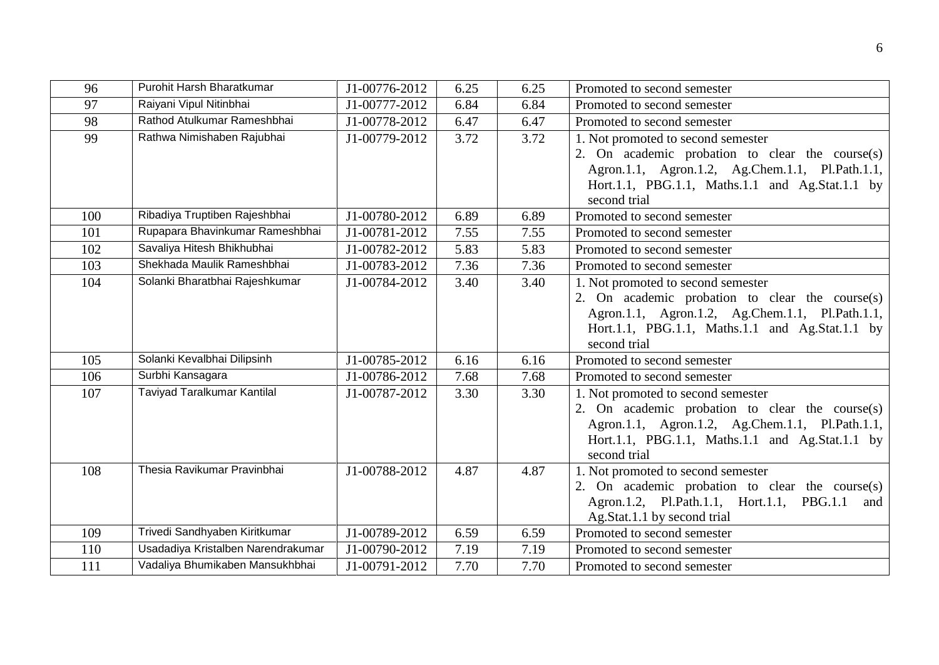| 96  | Purohit Harsh Bharatkumar          | J1-00776-2012 | 6.25 | 6.25 | Promoted to second semester                                |
|-----|------------------------------------|---------------|------|------|------------------------------------------------------------|
| 97  | Raiyani Vipul Nitinbhai            | J1-00777-2012 | 6.84 | 6.84 | Promoted to second semester                                |
| 98  | Rathod Atulkumar Rameshbhai        | J1-00778-2012 | 6.47 | 6.47 | Promoted to second semester                                |
| 99  | Rathwa Nimishaben Rajubhai         | J1-00779-2012 | 3.72 | 3.72 | 1. Not promoted to second semester                         |
|     |                                    |               |      |      | 2. On academic probation to clear the course(s)            |
|     |                                    |               |      |      | Agron.1.1, Agron.1.2, Ag.Chem.1.1, Pl.Path.1.1,            |
|     |                                    |               |      |      | Hort.1.1, PBG.1.1, Maths.1.1 and Ag.Stat.1.1 by            |
|     |                                    |               |      |      | second trial                                               |
| 100 | Ribadiya Truptiben Rajeshbhai      | J1-00780-2012 | 6.89 | 6.89 | Promoted to second semester                                |
| 101 | Rupapara Bhavinkumar Rameshbhai    | J1-00781-2012 | 7.55 | 7.55 | Promoted to second semester                                |
| 102 | Savaliya Hitesh Bhikhubhai         | J1-00782-2012 | 5.83 | 5.83 | Promoted to second semester                                |
| 103 | Shekhada Maulik Rameshbhai         | J1-00783-2012 | 7.36 | 7.36 | Promoted to second semester                                |
| 104 | Solanki Bharatbhai Rajeshkumar     | J1-00784-2012 | 3.40 | 3.40 | 1. Not promoted to second semester                         |
|     |                                    |               |      |      | 2. On academic probation to clear the course(s)            |
|     |                                    |               |      |      | Agron.1.1, Agron.1.2, Ag.Chem.1.1, Pl.Path.1.1,            |
|     |                                    |               |      |      | Hort.1.1, PBG.1.1, Maths.1.1 and Ag.Stat.1.1 by            |
|     |                                    |               |      |      | second trial                                               |
| 105 | Solanki Kevalbhai Dilipsinh        | J1-00785-2012 | 6.16 | 6.16 | Promoted to second semester                                |
| 106 | Surbhi Kansagara                   | J1-00786-2012 | 7.68 | 7.68 | Promoted to second semester                                |
| 107 | Taviyad Taralkumar Kantilal        | J1-00787-2012 | 3.30 | 3.30 | 1. Not promoted to second semester                         |
|     |                                    |               |      |      | 2. On academic probation to clear the course(s)            |
|     |                                    |               |      |      | Agron.1.1, Agron.1.2, Ag.Chem.1.1, Pl.Path.1.1,            |
|     |                                    |               |      |      | Hort.1.1, PBG.1.1, Maths.1.1 and Ag.Stat.1.1 by            |
|     |                                    |               |      |      | second trial                                               |
| 108 | Thesia Ravikumar Pravinbhai        | J1-00788-2012 | 4.87 | 4.87 | 1. Not promoted to second semester                         |
|     |                                    |               |      |      | 2. On academic probation to clear the course(s)            |
|     |                                    |               |      |      | Agron.1.2, Pl.Path.1.1, Hort.1.1, PBG.1.1<br>and           |
| 109 | Trivedi Sandhyaben Kiritkumar      | J1-00789-2012 | 6.59 | 6.59 | Ag.Stat.1.1 by second trial<br>Promoted to second semester |
| 110 | Usadadiya Kristalben Narendrakumar | J1-00790-2012 | 7.19 | 7.19 | Promoted to second semester                                |
|     |                                    |               |      |      |                                                            |
| 111 | Vadaliya Bhumikaben Mansukhbhai    | J1-00791-2012 | 7.70 | 7.70 | Promoted to second semester                                |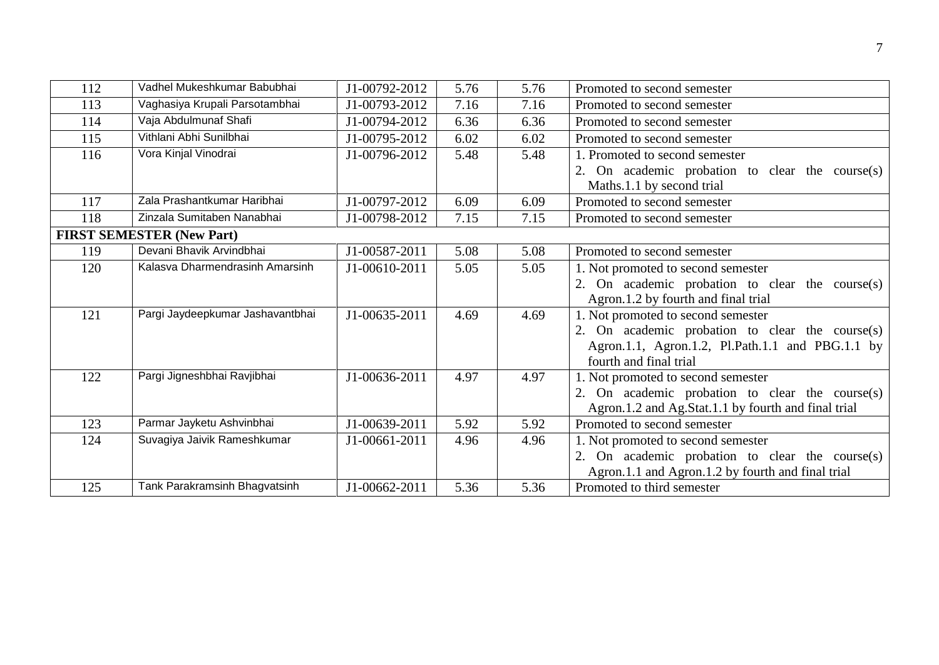| 112 | Vadhel Mukeshkumar Babubhai      | J1-00792-2012 | 5.76 | 5.76 | Promoted to second semester                         |
|-----|----------------------------------|---------------|------|------|-----------------------------------------------------|
| 113 | Vaghasiya Krupali Parsotambhai   | J1-00793-2012 | 7.16 | 7.16 | Promoted to second semester                         |
| 114 | Vaja Abdulmunaf Shafi            | J1-00794-2012 | 6.36 | 6.36 | Promoted to second semester                         |
| 115 | Vithlani Abhi Sunilbhai          | J1-00795-2012 | 6.02 | 6.02 | Promoted to second semester                         |
| 116 | Vora Kinjal Vinodrai             | J1-00796-2012 | 5.48 | 5.48 | 1. Promoted to second semester                      |
|     |                                  |               |      |      | 2. On academic probation to clear the course(s)     |
|     |                                  |               |      |      | Maths.1.1 by second trial                           |
| 117 | Zala Prashantkumar Haribhai      | J1-00797-2012 | 6.09 | 6.09 | Promoted to second semester                         |
| 118 | Zinzala Sumitaben Nanabhai       | J1-00798-2012 | 7.15 | 7.15 | Promoted to second semester                         |
|     | <b>FIRST SEMESTER (New Part)</b> |               |      |      |                                                     |
| 119 | Devani Bhavik Arvindbhai         | J1-00587-2011 | 5.08 | 5.08 | Promoted to second semester                         |
| 120 | Kalasva Dharmendrasinh Amarsinh  | J1-00610-2011 | 5.05 | 5.05 | 1. Not promoted to second semester                  |
|     |                                  |               |      |      | 2. On academic probation to clear the course(s)     |
|     |                                  |               |      |      | Agron.1.2 by fourth and final trial                 |
| 121 | Pargi Jaydeepkumar Jashavantbhai | J1-00635-2011 | 4.69 | 4.69 | 1. Not promoted to second semester                  |
|     |                                  |               |      |      | 2. On academic probation to clear the course(s)     |
|     |                                  |               |      |      | Agron.1.1, Agron.1.2, Pl.Path.1.1 and PBG.1.1 by    |
|     |                                  |               |      |      | fourth and final trial                              |
| 122 | Pargi Jigneshbhai Ravjibhai      | J1-00636-2011 | 4.97 | 4.97 | 1. Not promoted to second semester                  |
|     |                                  |               |      |      | 2. On academic probation to clear the course(s)     |
|     |                                  |               |      |      | Agron.1.2 and Ag.Stat.1.1 by fourth and final trial |
| 123 | Parmar Jayketu Ashvinbhai        | J1-00639-2011 | 5.92 | 5.92 | Promoted to second semester                         |
| 124 | Suvagiya Jaivik Rameshkumar      | J1-00661-2011 | 4.96 | 4.96 | 1. Not promoted to second semester                  |
|     |                                  |               |      |      | 2. On academic probation to clear the course(s)     |
|     |                                  |               |      |      | Agron.1.1 and Agron.1.2 by fourth and final trial   |
| 125 | Tank Parakramsinh Bhagvatsinh    | J1-00662-2011 | 5.36 | 5.36 | Promoted to third semester                          |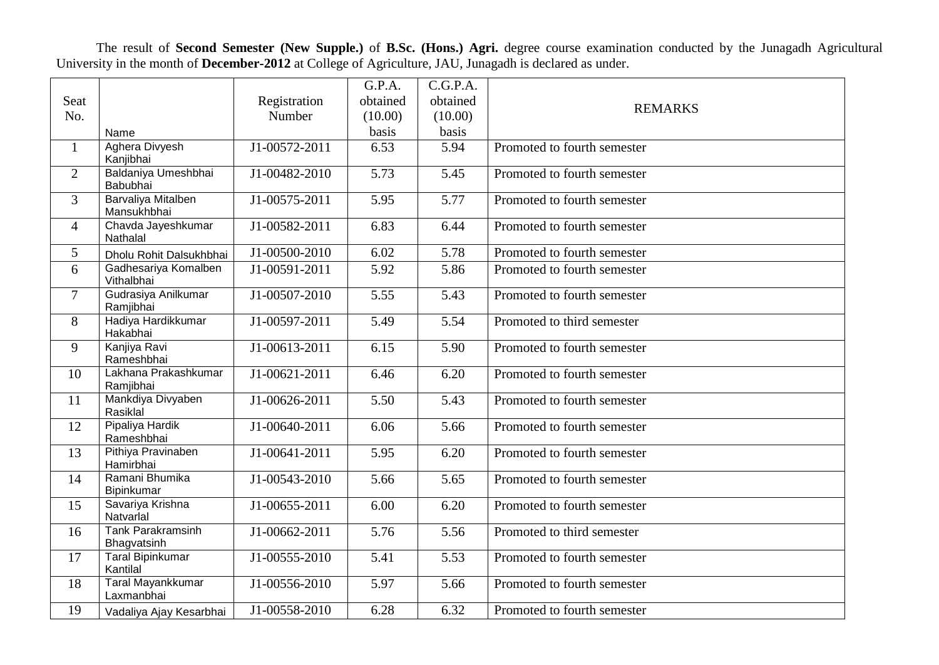The result of **Second Semester (New Supple.)** of **B.Sc. (Hons.) Agri.** degree course examination conducted by the Junagadh Agricultural University in the month of **December-2012** at College of Agriculture, JAU, Junagadh is declared as under.

|                |                                          |                            | G.P.A.            | C.G.P.A. |                             |
|----------------|------------------------------------------|----------------------------|-------------------|----------|-----------------------------|
| Seat           |                                          | Registration               | obtained          | obtained |                             |
| No.            |                                          | Number                     | (10.00)           | (10.00)  | <b>REMARKS</b>              |
|                | Name                                     |                            | basis             | basis    |                             |
| $\mathbf{1}$   | <b>Aghera Divyesh</b>                    | J1-00572-2011              | 6.53              | 5.94     | Promoted to fourth semester |
|                | Kanjibhai                                |                            |                   |          |                             |
| 2              | Baldaniya Umeshbhai<br>Babubhai          | J1-00482-2010              | 5.73              | 5.45     | Promoted to fourth semester |
| $\overline{3}$ | <b>Barvaliya Mitalben</b><br>Mansukhbhai | J1-00575-2011              | 5.95              | 5.77     | Promoted to fourth semester |
| $\overline{4}$ | Chavda Jayeshkumar<br>Nathalal           | J1-00582-2011              | 6.83              | 6.44     | Promoted to fourth semester |
| 5              | Dholu Rohit Dalsukhbhai                  | $\overline{J1-00500-2010}$ | 6.02              | 5.78     | Promoted to fourth semester |
| 6              | Gadhesariya Komalben<br>Vithalbhai       | J1-00591-2011              | 5.92              | 5.86     | Promoted to fourth semester |
| $\tau$         | Gudrasiya Anilkumar<br>Ramjibhai         | J1-00507-2010              | 5.55              | 5.43     | Promoted to fourth semester |
| 8              | Hadiya Hardikkumar<br>Hakabhai           | $J1-00597-2011$            | 5.49              | 5.54     | Promoted to third semester  |
| 9              | Kanjiya Ravi<br>Rameshbhai               | J1-00613-2011              | 6.15              | 5.90     | Promoted to fourth semester |
| 10             | Lakhana Prakashkumar<br>Ramjibhai        | J1-00621-2011              | 6.46              | 6.20     | Promoted to fourth semester |
| 11             | Mankdiya Divyaben<br>Rasiklal            | J1-00626-2011              | 5.50              | 5.43     | Promoted to fourth semester |
| 12             | Pipaliya Hardik<br>Rameshbhai            | J1-00640-2011              | 6.06              | 5.66     | Promoted to fourth semester |
| 13             | Pithiya Pravinaben<br>Hamirbhai          | J1-00641-2011              | 5.95              | 6.20     | Promoted to fourth semester |
| 14             | Ramani Bhumika<br>Bipinkumar             | J1-00543-2010              | 5.66              | 5.65     | Promoted to fourth semester |
| 15             | Savariya Krishna<br>Natvarlal            | J1-00655-2011              | 6.00              | 6.20     | Promoted to fourth semester |
| 16             | <b>Tank Parakramsinh</b><br>Bhagvatsinh  | J1-00662-2011              | $\overline{5.76}$ | 5.56     | Promoted to third semester  |
| 17             | <b>Taral Bipinkumar</b><br>Kantilal      | J1-00555-2010              | 5.41              | 5.53     | Promoted to fourth semester |
| 18             | <b>Taral Mayankkumar</b><br>Laxmanbhai   | J1-00556-2010              | 5.97              | 5.66     | Promoted to fourth semester |
| 19             | Vadaliya Ajay Kesarbhai                  | J1-00558-2010              | 6.28              | 6.32     | Promoted to fourth semester |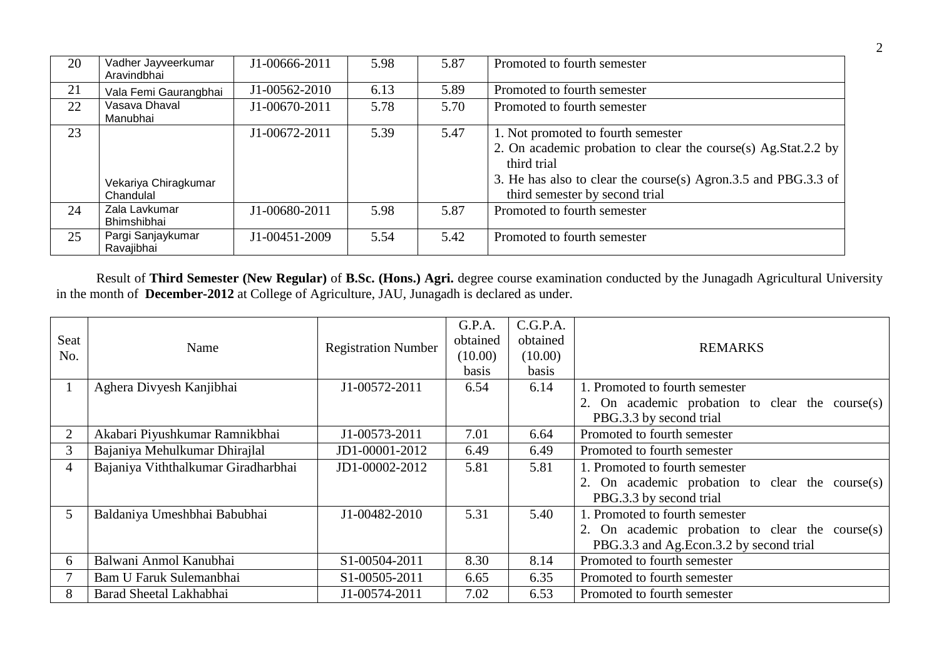| 20 | Vadher Jayveerkumar<br>Aravindbhai | J1-00666-2011 | 5.98 | 5.87 | Promoted to fourth semester                                    |
|----|------------------------------------|---------------|------|------|----------------------------------------------------------------|
| 21 | Vala Femi Gaurangbhai              | J1-00562-2010 | 6.13 | 5.89 | Promoted to fourth semester                                    |
| 22 | Vasava Dhaval<br>Manubhai          | J1-00670-2011 | 5.78 | 5.70 | Promoted to fourth semester                                    |
| 23 |                                    | J1-00672-2011 | 5.39 | 5.47 | 1. Not promoted to fourth semester                             |
|    |                                    |               |      |      | 2. On academic probation to clear the course(s) Ag.Stat.2.2 by |
|    |                                    |               |      |      | third trial                                                    |
|    | Vekariya Chiragkumar               |               |      |      | 3. He has also to clear the course(s) Agron.3.5 and PBG.3.3 of |
|    | Chandulal                          |               |      |      | third semester by second trial                                 |
| 24 | Zala Lavkumar                      | J1-00680-2011 | 5.98 | 5.87 | Promoted to fourth semester                                    |
|    | Bhimshibhai                        |               |      |      |                                                                |
| 25 | Pargi Sanjaykumar                  | J1-00451-2009 | 5.54 | 5.42 | Promoted to fourth semester                                    |
|    | Ravajibhai                         |               |      |      |                                                                |

Result of **Third Semester (New Regular)** of **B.Sc. (Hons.) Agri.** degree course examination conducted by the Junagadh Agricultural University in the month of **December-2012** at College of Agriculture, JAU, Junagadh is declared as under.

| Seat<br>No.    | Name                                | <b>Registration Number</b> | G.P.A.<br>obtained<br>(10.00) | C.G.P.A.<br>obtained<br>(10.00) | <b>REMARKS</b>                                                                                                               |
|----------------|-------------------------------------|----------------------------|-------------------------------|---------------------------------|------------------------------------------------------------------------------------------------------------------------------|
|                |                                     |                            | basis                         | basis                           |                                                                                                                              |
| 1              | Aghera Divyesh Kanjibhai            | J1-00572-2011              | 6.54                          | 6.14                            | 1. Promoted to fourth semester<br>2. On academic probation to clear the course(s)<br>PBG.3.3 by second trial                 |
| $\overline{2}$ | Akabari Piyushkumar Ramnikbhai      | J1-00573-2011              | 7.01                          | 6.64                            | Promoted to fourth semester                                                                                                  |
| 3              | Bajaniya Mehulkumar Dhirajlal       | JD1-00001-2012             | 6.49                          | 6.49                            | Promoted to fourth semester                                                                                                  |
| $\overline{4}$ | Bajaniya Viththalkumar Giradharbhai | JD1-00002-2012             | 5.81                          | 5.81                            | 1. Promoted to fourth semester<br>2. On academic probation to clear the course $(s)$<br>PBG.3.3 by second trial              |
| 5              | Baldaniya Umeshbhai Babubhai        | J1-00482-2010              | 5.31                          | 5.40                            | 1. Promoted to fourth semester<br>2. On academic probation to clear the course(s)<br>PBG.3.3 and Ag.Econ.3.2 by second trial |
| 6              | Balwani Anmol Kanubhai              | S1-00504-2011              | 8.30                          | 8.14                            | Promoted to fourth semester                                                                                                  |
|                | Bam U Faruk Sulemanbhai             | S1-00505-2011              | 6.65                          | 6.35                            | Promoted to fourth semester                                                                                                  |
| 8              | Barad Sheetal Lakhabhai             | J1-00574-2011              | 7.02                          | 6.53                            | Promoted to fourth semester                                                                                                  |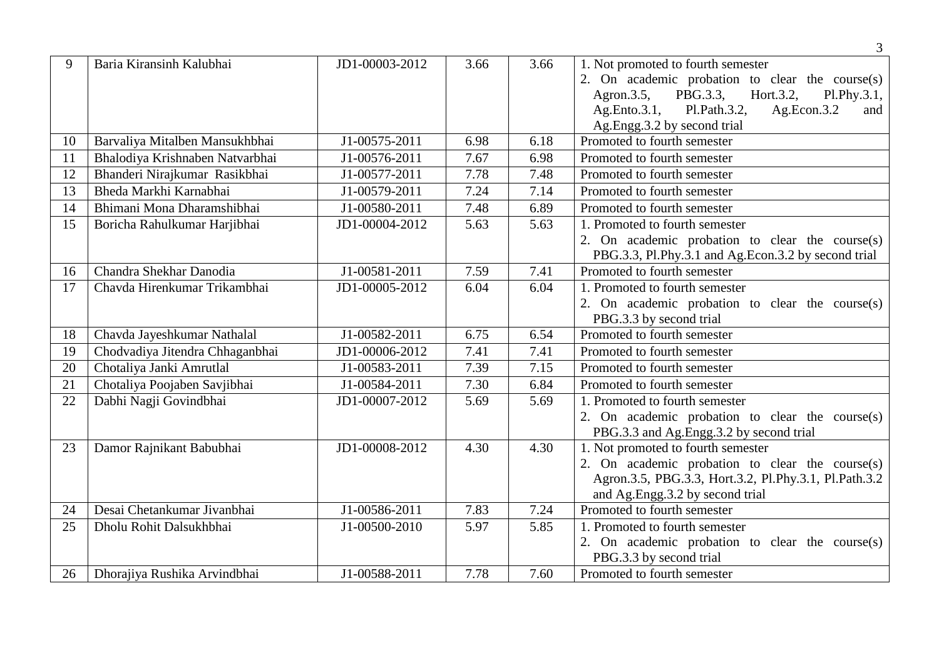|    |                                 |                |      |      | $\mathfrak{Z}$                                        |
|----|---------------------------------|----------------|------|------|-------------------------------------------------------|
| 9  | Baria Kiransinh Kalubhai        | JD1-00003-2012 | 3.66 | 3.66 | 1. Not promoted to fourth semester                    |
|    |                                 |                |      |      | 2. On academic probation to clear the course(s)       |
|    |                                 |                |      |      | PBG.3.3,<br>Hort.3.2,<br>Agron.3.5,<br>Pl.Phy.3.1,    |
|    |                                 |                |      |      | Ag.Ento.3.1,<br>Pl.Path.3.2,<br>Ag.Econ.3.2<br>and    |
|    |                                 |                |      |      | Ag.Engg.3.2 by second trial                           |
| 10 | Barvaliya Mitalben Mansukhbhai  | J1-00575-2011  | 6.98 | 6.18 | Promoted to fourth semester                           |
| 11 | Bhalodiya Krishnaben Natvarbhai | J1-00576-2011  | 7.67 | 6.98 | Promoted to fourth semester                           |
| 12 | Bhanderi Nirajkumar Rasikbhai   | J1-00577-2011  | 7.78 | 7.48 | Promoted to fourth semester                           |
| 13 | Bheda Markhi Karnabhai          | J1-00579-2011  | 7.24 | 7.14 | Promoted to fourth semester                           |
| 14 | Bhimani Mona Dharamshibhai      | J1-00580-2011  | 7.48 | 6.89 | Promoted to fourth semester                           |
| 15 | Boricha Rahulkumar Harjibhai    | JD1-00004-2012 | 5.63 | 5.63 | 1. Promoted to fourth semester                        |
|    |                                 |                |      |      | 2. On academic probation to clear the course(s)       |
|    |                                 |                |      |      | PBG.3.3, Pl.Phy.3.1 and Ag.Econ.3.2 by second trial   |
| 16 | Chandra Shekhar Danodia         | J1-00581-2011  | 7.59 | 7.41 | Promoted to fourth semester                           |
| 17 | Chavda Hirenkumar Trikambhai    | JD1-00005-2012 | 6.04 | 6.04 | 1. Promoted to fourth semester                        |
|    |                                 |                |      |      | 2. On academic probation to clear the course(s)       |
|    |                                 |                |      |      | PBG.3.3 by second trial                               |
| 18 | Chavda Jayeshkumar Nathalal     | J1-00582-2011  | 6.75 | 6.54 | Promoted to fourth semester                           |
| 19 | Chodvadiya Jitendra Chhaganbhai | JD1-00006-2012 | 7.41 | 7.41 | Promoted to fourth semester                           |
| 20 | Chotaliya Janki Amrutlal        | J1-00583-2011  | 7.39 | 7.15 | Promoted to fourth semester                           |
| 21 | Chotaliya Poojaben Savjibhai    | J1-00584-2011  | 7.30 | 6.84 | Promoted to fourth semester                           |
| 22 | Dabhi Nagji Govindbhai          | JD1-00007-2012 | 5.69 | 5.69 | 1. Promoted to fourth semester                        |
|    |                                 |                |      |      | 2. On academic probation to clear the course(s)       |
|    |                                 |                |      |      | PBG.3.3 and Ag.Engg.3.2 by second trial               |
| 23 | Damor Rajnikant Babubhai        | JD1-00008-2012 | 4.30 | 4.30 | 1. Not promoted to fourth semester                    |
|    |                                 |                |      |      | 2. On academic probation to clear the course(s)       |
|    |                                 |                |      |      | Agron.3.5, PBG.3.3, Hort.3.2, Pl.Phy.3.1, Pl.Path.3.2 |
|    |                                 |                |      |      | and Ag.Engg.3.2 by second trial                       |
| 24 | Desai Chetankumar Jivanbhai     | J1-00586-2011  | 7.83 | 7.24 | Promoted to fourth semester                           |
| 25 | Dholu Rohit Dalsukhbhai         | J1-00500-2010  | 5.97 | 5.85 | 1. Promoted to fourth semester                        |
|    |                                 |                |      |      | 2. On academic probation to clear the course(s)       |
|    |                                 |                |      |      | PBG.3.3 by second trial                               |
| 26 | Dhorajiya Rushika Arvindbhai    | J1-00588-2011  | 7.78 | 7.60 | Promoted to fourth semester                           |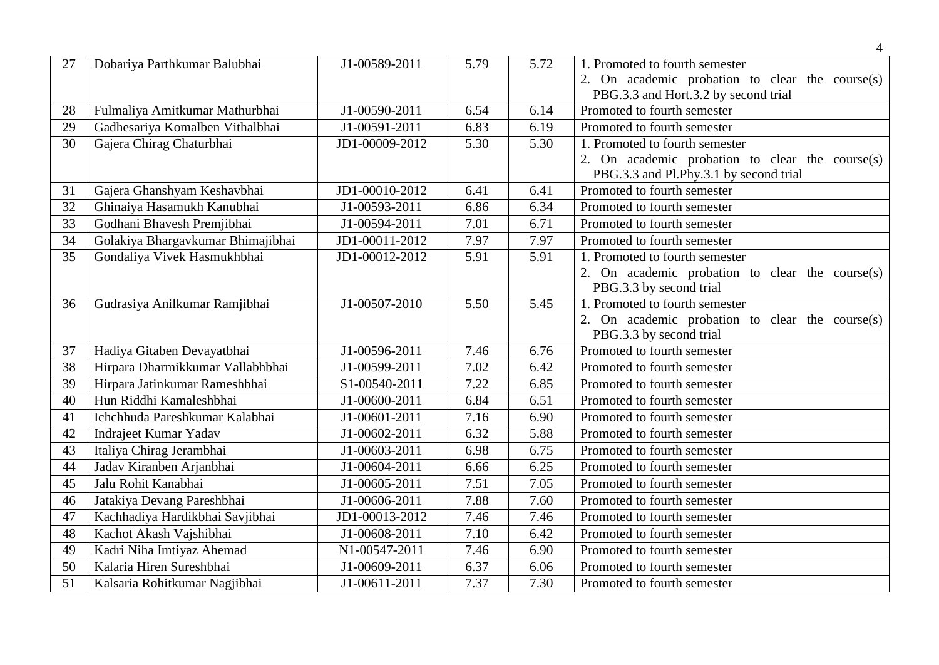| 27 | Dobariya Parthkumar Balubhai      | J1-00589-2011  | 5.79 | 5.72 | 1. Promoted to fourth semester                  |
|----|-----------------------------------|----------------|------|------|-------------------------------------------------|
|    |                                   |                |      |      | 2. On academic probation to clear the course(s) |
|    |                                   |                |      |      | PBG.3.3 and Hort.3.2 by second trial            |
| 28 | Fulmaliya Amitkumar Mathurbhai    | J1-00590-2011  | 6.54 | 6.14 | Promoted to fourth semester                     |
| 29 | Gadhesariya Komalben Vithalbhai   | J1-00591-2011  | 6.83 | 6.19 | Promoted to fourth semester                     |
| 30 | Gajera Chirag Chaturbhai          | JD1-00009-2012 | 5.30 | 5.30 | 1. Promoted to fourth semester                  |
|    |                                   |                |      |      | 2. On academic probation to clear the course(s) |
|    |                                   |                |      |      | PBG.3.3 and Pl.Phy.3.1 by second trial          |
| 31 | Gajera Ghanshyam Keshavbhai       | JD1-00010-2012 | 6.41 | 6.41 | Promoted to fourth semester                     |
| 32 | Ghinaiya Hasamukh Kanubhai        | J1-00593-2011  | 6.86 | 6.34 | Promoted to fourth semester                     |
| 33 | Godhani Bhavesh Premjibhai        | J1-00594-2011  | 7.01 | 6.71 | Promoted to fourth semester                     |
| 34 | Golakiya Bhargavkumar Bhimajibhai | JD1-00011-2012 | 7.97 | 7.97 | Promoted to fourth semester                     |
| 35 | Gondaliya Vivek Hasmukhbhai       | JD1-00012-2012 | 5.91 | 5.91 | 1. Promoted to fourth semester                  |
|    |                                   |                |      |      | 2. On academic probation to clear the course(s) |
|    |                                   |                |      |      | PBG.3.3 by second trial                         |
| 36 | Gudrasiya Anilkumar Ramjibhai     | J1-00507-2010  | 5.50 | 5.45 | 1. Promoted to fourth semester                  |
|    |                                   |                |      |      | 2. On academic probation to clear the course(s) |
|    |                                   |                |      |      | PBG.3.3 by second trial                         |
| 37 | Hadiya Gitaben Devayatbhai        | J1-00596-2011  | 7.46 | 6.76 | Promoted to fourth semester                     |
| 38 | Hirpara Dharmikkumar Vallabhbhai  | J1-00599-2011  | 7.02 | 6.42 | Promoted to fourth semester                     |
| 39 | Hirpara Jatinkumar Rameshbhai     | S1-00540-2011  | 7.22 | 6.85 | Promoted to fourth semester                     |
| 40 | Hun Riddhi Kamaleshbhai           | J1-00600-2011  | 6.84 | 6.51 | Promoted to fourth semester                     |
| 41 | Ichchhuda Pareshkumar Kalabhai    | J1-00601-2011  | 7.16 | 6.90 | Promoted to fourth semester                     |
| 42 | Indrajeet Kumar Yadav             | J1-00602-2011  | 6.32 | 5.88 | Promoted to fourth semester                     |
| 43 | Italiya Chirag Jerambhai          | J1-00603-2011  | 6.98 | 6.75 | Promoted to fourth semester                     |
| 44 | Jadav Kiranben Arjanbhai          | J1-00604-2011  | 6.66 | 6.25 | Promoted to fourth semester                     |
| 45 | Jalu Rohit Kanabhai               | J1-00605-2011  | 7.51 | 7.05 | Promoted to fourth semester                     |
| 46 | Jatakiya Devang Pareshbhai        | J1-00606-2011  | 7.88 | 7.60 | Promoted to fourth semester                     |
| 47 | Kachhadiya Hardikbhai Savjibhai   | JD1-00013-2012 | 7.46 | 7.46 | Promoted to fourth semester                     |
| 48 | Kachot Akash Vajshibhai           | J1-00608-2011  | 7.10 | 6.42 | Promoted to fourth semester                     |
| 49 | Kadri Niha Imtiyaz Ahemad         | N1-00547-2011  | 7.46 | 6.90 | Promoted to fourth semester                     |
| 50 | Kalaria Hiren Sureshbhai          | J1-00609-2011  | 6.37 | 6.06 | Promoted to fourth semester                     |
| 51 | Kalsaria Rohitkumar Nagjibhai     | J1-00611-2011  | 7.37 | 7.30 | Promoted to fourth semester                     |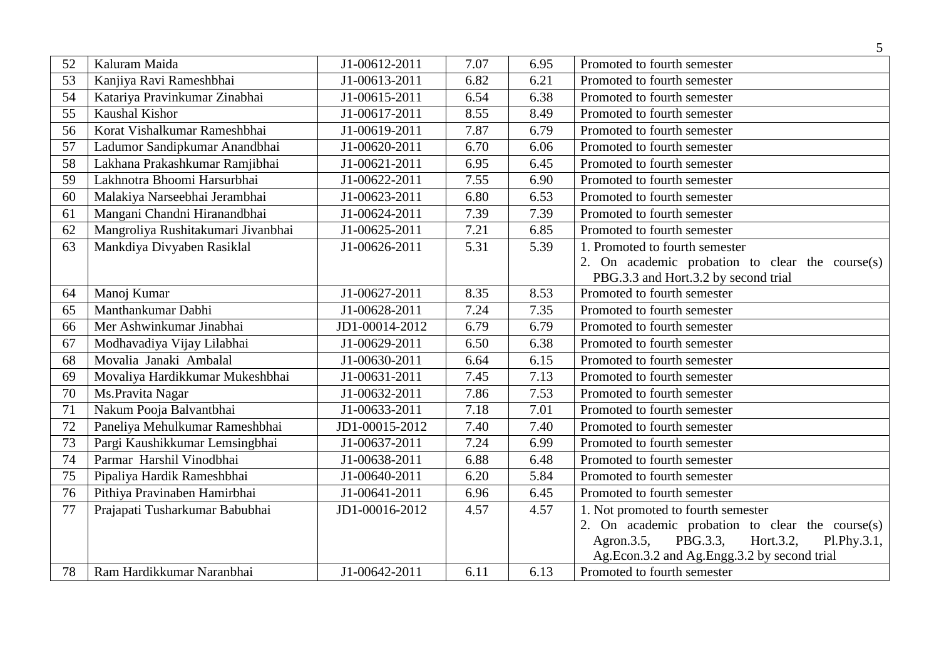|                 |                                    |                             |      |      | 5                                                      |
|-----------------|------------------------------------|-----------------------------|------|------|--------------------------------------------------------|
| 52              | Kaluram Maida                      | J1-00612-2011               | 7.07 | 6.95 | Promoted to fourth semester                            |
| 53              | Kanjiya Ravi Rameshbhai            | J1-00613-2011               | 6.82 | 6.21 | Promoted to fourth semester                            |
| 54              | Katariya Pravinkumar Zinabhai      | J1-00615-2011               | 6.54 | 6.38 | Promoted to fourth semester                            |
| $\overline{55}$ | Kaushal Kishor                     | J1-00617-2011               | 8.55 | 8.49 | Promoted to fourth semester                            |
| 56              | Korat Vishalkumar Rameshbhai       | J1-00619-2011               | 7.87 | 6.79 | Promoted to fourth semester                            |
| 57              | Ladumor Sandipkumar Anandbhai      | J1-00620-2011               | 6.70 | 6.06 | Promoted to fourth semester                            |
| 58              | Lakhana Prakashkumar Ramjibhai     | J1-00621-2011               | 6.95 | 6.45 | Promoted to fourth semester                            |
| 59              | Lakhnotra Bhoomi Harsurbhai        | J1-00622-2011               | 7.55 | 6.90 | Promoted to fourth semester                            |
| 60              | Malakiya Narseebhai Jerambhai      | J1-00623-2011               | 6.80 | 6.53 | Promoted to fourth semester                            |
| 61              | Mangani Chandni Hiranandbhai       | J1-00624-2011               | 7.39 | 7.39 | Promoted to fourth semester                            |
| 62              | Mangroliya Rushitakumari Jivanbhai | J1-00625-2011               | 7.21 | 6.85 | Promoted to fourth semester                            |
| 63              | Mankdiya Divyaben Rasiklal         | J1-00626-2011               | 5.31 | 5.39 | 1. Promoted to fourth semester                         |
|                 |                                    |                             |      |      | 2. On academic probation to clear the course(s)        |
|                 |                                    |                             |      |      | PBG.3.3 and Hort.3.2 by second trial                   |
| 64              | Manoj Kumar                        | J1-00627-2011               | 8.35 | 8.53 | Promoted to fourth semester                            |
| 65              | Manthankumar Dabhi                 | J1-00628-2011               | 7.24 | 7.35 | Promoted to fourth semester                            |
| 66              | Mer Ashwinkumar Jinabhai           | JD1-00014-2012              | 6.79 | 6.79 | Promoted to fourth semester                            |
| 67              | Modhavadiya Vijay Lilabhai         | J1-00629-2011               | 6.50 | 6.38 | Promoted to fourth semester                            |
| 68              | Movalia Janaki Ambalal             | J1-00630-2011               | 6.64 | 6.15 | Promoted to fourth semester                            |
| 69              | Movaliya Hardikkumar Mukeshbhai    | $\overline{J}$ 1-00631-2011 | 7.45 | 7.13 | Promoted to fourth semester                            |
| 70              | Ms.Pravita Nagar                   | J1-00632-2011               | 7.86 | 7.53 | Promoted to fourth semester                            |
| 71              | Nakum Pooja Balvantbhai            | J1-00633-2011               | 7.18 | 7.01 | Promoted to fourth semester                            |
| 72              | Paneliya Mehulkumar Rameshbhai     | JD1-00015-2012              | 7.40 | 7.40 | Promoted to fourth semester                            |
| 73              | Pargi Kaushikkumar Lemsingbhai     | J1-00637-2011               | 7.24 | 6.99 | Promoted to fourth semester                            |
| 74              | Parmar Harshil Vinodbhai           | J1-00638-2011               | 6.88 | 6.48 | Promoted to fourth semester                            |
| 75              | Pipaliya Hardik Rameshbhai         | J1-00640-2011               | 6.20 | 5.84 | Promoted to fourth semester                            |
| 76              | Pithiya Pravinaben Hamirbhai       | J1-00641-2011               | 6.96 | 6.45 | Promoted to fourth semester                            |
| 77              | Prajapati Tusharkumar Babubhai     | JD1-00016-2012              | 4.57 | 4.57 | 1. Not promoted to fourth semester                     |
|                 |                                    |                             |      |      | 2. On academic probation to clear the course(s)        |
|                 |                                    |                             |      |      | Hort.3.2,<br>PBG.3.3,<br>Agron. $3.5$ ,<br>Pl.Phy.3.1, |
|                 |                                    |                             |      |      | Ag.Econ.3.2 and Ag.Engg.3.2 by second trial            |
| 78              | Ram Hardikkumar Naranbhai          | J1-00642-2011               | 6.11 | 6.13 | Promoted to fourth semester                            |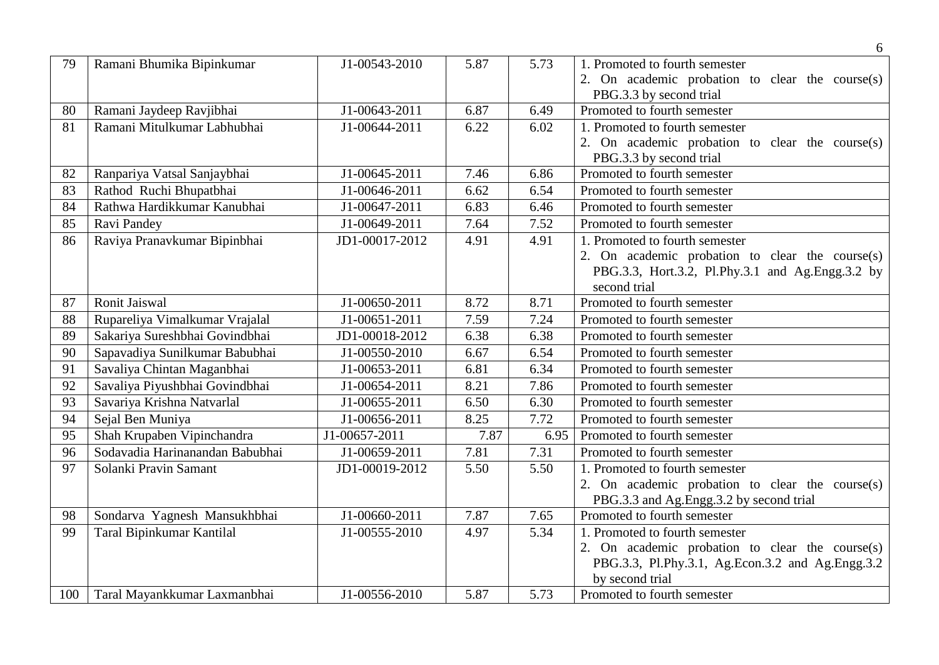|     |                                 |                |      |      | 6                                                |
|-----|---------------------------------|----------------|------|------|--------------------------------------------------|
| 79  | Ramani Bhumika Bipinkumar       | J1-00543-2010  | 5.87 | 5.73 | 1. Promoted to fourth semester                   |
|     |                                 |                |      |      | 2. On academic probation to clear the course(s)  |
|     |                                 |                |      |      | PBG.3.3 by second trial                          |
| 80  | Ramani Jaydeep Ravjibhai        | J1-00643-2011  | 6.87 | 6.49 | Promoted to fourth semester                      |
| 81  | Ramani Mitulkumar Labhubhai     | J1-00644-2011  | 6.22 | 6.02 | 1. Promoted to fourth semester                   |
|     |                                 |                |      |      | 2. On academic probation to clear the course(s)  |
|     |                                 |                |      |      | PBG.3.3 by second trial                          |
| 82  | Ranpariya Vatsal Sanjaybhai     | J1-00645-2011  | 7.46 | 6.86 | Promoted to fourth semester                      |
| 83  | Rathod Ruchi Bhupatbhai         | J1-00646-2011  | 6.62 | 6.54 | Promoted to fourth semester                      |
| 84  | Rathwa Hardikkumar Kanubhai     | J1-00647-2011  | 6.83 | 6.46 | Promoted to fourth semester                      |
| 85  | Ravi Pandey                     | J1-00649-2011  | 7.64 | 7.52 | Promoted to fourth semester                      |
| 86  | Raviya Pranavkumar Bipinbhai    | JD1-00017-2012 | 4.91 | 4.91 | 1. Promoted to fourth semester                   |
|     |                                 |                |      |      | 2. On academic probation to clear the course(s)  |
|     |                                 |                |      |      | PBG.3.3, Hort.3.2, Pl.Phy.3.1 and Ag.Engg.3.2 by |
|     |                                 |                |      |      | second trial                                     |
| 87  | Ronit Jaiswal                   | J1-00650-2011  | 8.72 | 8.71 | Promoted to fourth semester                      |
| 88  | Rupareliya Vimalkumar Vrajalal  | J1-00651-2011  | 7.59 | 7.24 | Promoted to fourth semester                      |
| 89  | Sakariya Sureshbhai Govindbhai  | JD1-00018-2012 | 6.38 | 6.38 | Promoted to fourth semester                      |
| 90  | Sapavadiya Sunilkumar Babubhai  | J1-00550-2010  | 6.67 | 6.54 | Promoted to fourth semester                      |
| 91  | Savaliya Chintan Maganbhai      | J1-00653-2011  | 6.81 | 6.34 | Promoted to fourth semester                      |
| 92  | Savaliya Piyushbhai Govindbhai  | J1-00654-2011  | 8.21 | 7.86 | Promoted to fourth semester                      |
| 93  | Savariya Krishna Natvarlal      | J1-00655-2011  | 6.50 | 6.30 | Promoted to fourth semester                      |
| 94  | Sejal Ben Muniya                | J1-00656-2011  | 8.25 | 7.72 | Promoted to fourth semester                      |
| 95  | Shah Krupaben Vipinchandra      | J1-00657-2011  | 7.87 | 6.95 | Promoted to fourth semester                      |
| 96  | Sodavadia Harinanandan Babubhai | J1-00659-2011  | 7.81 | 7.31 | Promoted to fourth semester                      |
| 97  | Solanki Pravin Samant           | JD1-00019-2012 | 5.50 | 5.50 | 1. Promoted to fourth semester                   |
|     |                                 |                |      |      | 2. On academic probation to clear the course(s)  |
|     |                                 |                |      |      | PBG.3.3 and Ag.Engg.3.2 by second trial          |
| 98  | Sondarva Yagnesh Mansukhbhai    | J1-00660-2011  | 7.87 | 7.65 | Promoted to fourth semester                      |
| 99  | Taral Bipinkumar Kantilal       | J1-00555-2010  | 4.97 | 5.34 | 1. Promoted to fourth semester                   |
|     |                                 |                |      |      | 2. On academic probation to clear the course(s)  |
|     |                                 |                |      |      | PBG.3.3, Pl.Phy.3.1, Ag.Econ.3.2 and Ag.Engg.3.2 |
|     |                                 |                |      |      | by second trial                                  |
| 100 | Taral Mayankkumar Laxmanbhai    | J1-00556-2010  | 5.87 | 5.73 | Promoted to fourth semester                      |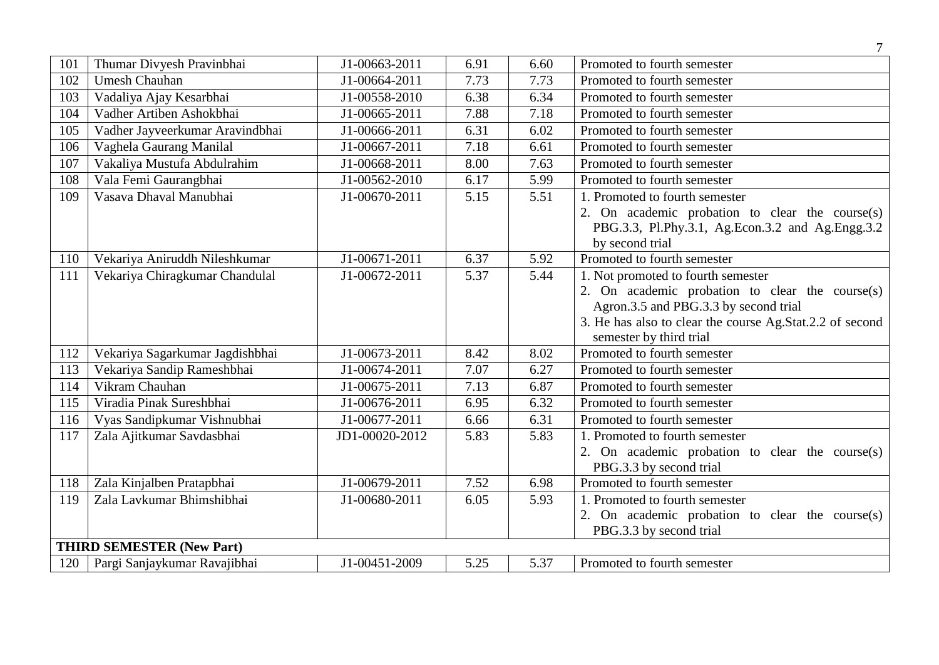| 101 | Thumar Divyesh Pravinbhai        | J1-00663-2011  | 6.91 | 6.60 | Promoted to fourth semester                              |
|-----|----------------------------------|----------------|------|------|----------------------------------------------------------|
| 102 | <b>Umesh Chauhan</b>             | J1-00664-2011  | 7.73 | 7.73 | Promoted to fourth semester                              |
| 103 | Vadaliya Ajay Kesarbhai          | J1-00558-2010  | 6.38 | 6.34 | Promoted to fourth semester                              |
| 104 | Vadher Artiben Ashokbhai         | J1-00665-2011  | 7.88 | 7.18 | Promoted to fourth semester                              |
| 105 | Vadher Jayveerkumar Aravindbhai  | J1-00666-2011  | 6.31 | 6.02 | Promoted to fourth semester                              |
| 106 | Vaghela Gaurang Manilal          | J1-00667-2011  | 7.18 | 6.61 | Promoted to fourth semester                              |
| 107 | Vakaliya Mustufa Abdulrahim      | J1-00668-2011  | 8.00 | 7.63 | Promoted to fourth semester                              |
| 108 | Vala Femi Gaurangbhai            | J1-00562-2010  | 6.17 | 5.99 | Promoted to fourth semester                              |
| 109 | Vasava Dhaval Manubhai           | J1-00670-2011  | 5.15 | 5.51 | 1. Promoted to fourth semester                           |
|     |                                  |                |      |      | 2. On academic probation to clear the course(s)          |
|     |                                  |                |      |      | PBG.3.3, Pl.Phy.3.1, Ag.Econ.3.2 and Ag.Engg.3.2         |
|     |                                  |                |      |      | by second trial                                          |
| 110 | Vekariya Aniruddh Nileshkumar    | J1-00671-2011  | 6.37 | 5.92 | Promoted to fourth semester                              |
| 111 | Vekariya Chiragkumar Chandulal   | J1-00672-2011  | 5.37 | 5.44 | 1. Not promoted to fourth semester                       |
|     |                                  |                |      |      | 2. On academic probation to clear the course(s)          |
|     |                                  |                |      |      | Agron.3.5 and PBG.3.3 by second trial                    |
|     |                                  |                |      |      | 3. He has also to clear the course Ag.Stat.2.2 of second |
|     |                                  |                |      |      | semester by third trial                                  |
| 112 | Vekariya Sagarkumar Jagdishbhai  | J1-00673-2011  | 8.42 | 8.02 | Promoted to fourth semester                              |
| 113 | Vekariya Sandip Rameshbhai       | J1-00674-2011  | 7.07 | 6.27 | Promoted to fourth semester                              |
| 114 | Vikram Chauhan                   | J1-00675-2011  | 7.13 | 6.87 | Promoted to fourth semester                              |
| 115 | Viradia Pinak Sureshbhai         | J1-00676-2011  | 6.95 | 6.32 | Promoted to fourth semester                              |
| 116 | Vyas Sandipkumar Vishnubhai      | J1-00677-2011  | 6.66 | 6.31 | Promoted to fourth semester                              |
| 117 | Zala Ajitkumar Savdasbhai        | JD1-00020-2012 | 5.83 | 5.83 | 1. Promoted to fourth semester                           |
|     |                                  |                |      |      | 2. On academic probation to clear the course(s)          |
|     |                                  |                |      |      | PBG.3.3 by second trial                                  |
| 118 | Zala Kinjalben Pratapbhai        | J1-00679-2011  | 7.52 | 6.98 | Promoted to fourth semester                              |
| 119 | Zala Lavkumar Bhimshibhai        | J1-00680-2011  | 6.05 | 5.93 | 1. Promoted to fourth semester                           |
|     |                                  |                |      |      | 2. On academic probation to clear the course(s)          |
|     |                                  |                |      |      | PBG.3.3 by second trial                                  |
|     | <b>THIRD SEMESTER (New Part)</b> |                |      |      |                                                          |
| 120 | Pargi Sanjaykumar Ravajibhai     | J1-00451-2009  | 5.25 | 5.37 | Promoted to fourth semester                              |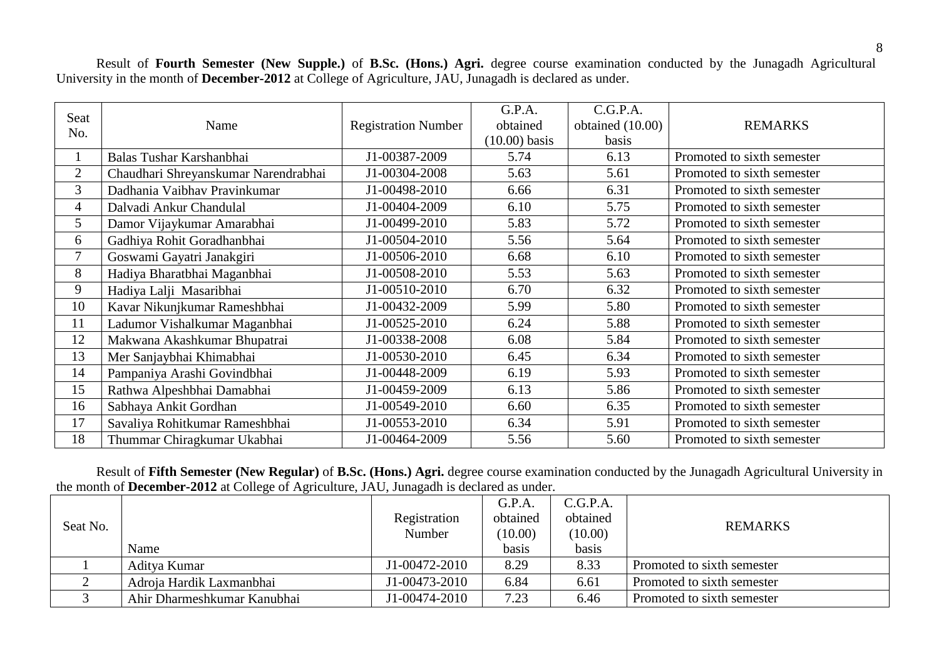Result of **Fourth Semester (New Supple.)** of **B.Sc. (Hons.) Agri.** degree course examination conducted by the Junagadh Agricultural University in the month of **December-2012** at College of Agriculture, JAU, Junagadh is declared as under.

| Seat<br>No.    | Name                                 | <b>Registration Number</b> | G.P.A.<br>obtained<br>$(10.00)$ basis | C.G.P.A.<br>obtained (10.00)<br>basis | <b>REMARKS</b>             |
|----------------|--------------------------------------|----------------------------|---------------------------------------|---------------------------------------|----------------------------|
| $\mathbf{1}$   | Balas Tushar Karshanbhai             | J1-00387-2009              | 5.74                                  | 6.13                                  | Promoted to sixth semester |
| $\overline{2}$ | Chaudhari Shreyanskumar Narendrabhai | J1-00304-2008              | 5.63                                  | 5.61                                  | Promoted to sixth semester |
| 3              | Dadhania Vaibhav Pravinkumar         | J1-00498-2010              | 6.66                                  | 6.31                                  | Promoted to sixth semester |
| $\overline{4}$ | Dalvadi Ankur Chandulal              | J1-00404-2009              | 6.10                                  | 5.75                                  | Promoted to sixth semester |
| 5              | Damor Vijaykumar Amarabhai           | J1-00499-2010              | 5.83                                  | 5.72                                  | Promoted to sixth semester |
| 6              | Gadhiya Rohit Goradhanbhai           | J1-00504-2010              | 5.56                                  | 5.64                                  | Promoted to sixth semester |
| $\overline{7}$ | Goswami Gayatri Janakgiri            | J1-00506-2010              | 6.68                                  | 6.10                                  | Promoted to sixth semester |
| 8              | Hadiya Bharatbhai Maganbhai          | J1-00508-2010              | 5.53                                  | 5.63                                  | Promoted to sixth semester |
| 9              | Hadiya Lalji Masaribhai              | J1-00510-2010              | 6.70                                  | 6.32                                  | Promoted to sixth semester |
| 10             | Kavar Nikunjkumar Rameshbhai         | J1-00432-2009              | 5.99                                  | 5.80                                  | Promoted to sixth semester |
| 11             | Ladumor Vishalkumar Maganbhai        | J1-00525-2010              | 6.24                                  | 5.88                                  | Promoted to sixth semester |
| 12             | Makwana Akashkumar Bhupatrai         | J1-00338-2008              | 6.08                                  | 5.84                                  | Promoted to sixth semester |
| 13             | Mer Sanjaybhai Khimabhai             | J1-00530-2010              | 6.45                                  | 6.34                                  | Promoted to sixth semester |
| 14             | Pampaniya Arashi Govindbhai          | J1-00448-2009              | 6.19                                  | 5.93                                  | Promoted to sixth semester |
| 15             | Rathwa Alpeshbhai Damabhai           | J1-00459-2009              | 6.13                                  | 5.86                                  | Promoted to sixth semester |
| 16             | Sabhaya Ankit Gordhan                | J1-00549-2010              | 6.60                                  | 6.35                                  | Promoted to sixth semester |
| 17             | Savaliya Rohitkumar Rameshbhai       | J1-00553-2010              | 6.34                                  | 5.91                                  | Promoted to sixth semester |
| 18             | Thummar Chiragkumar Ukabhai          | J1-00464-2009              | 5.56                                  | 5.60                                  | Promoted to sixth semester |

Result of **Fifth Semester (New Regular)** of **B.Sc. (Hons.) Agri.** degree course examination conducted by the Junagadh Agricultural University in the month of **December-2012** at College of Agriculture, JAU, Junagadh is declared as under.

| Seat No. |                             | Registration<br>Number | G.P.A.<br>obtained<br>(10.00) | C.G.P.A.<br>obtained<br>(10.00) | <b>REMARKS</b>             |
|----------|-----------------------------|------------------------|-------------------------------|---------------------------------|----------------------------|
|          | Name                        |                        | basis                         | basis                           |                            |
|          | Aditya Kumar                | J1-00472-2010          | 8.29                          | 8.33                            | Promoted to sixth semester |
|          | Adroja Hardik Laxmanbhai    | J1-00473-2010          | 6.84                          | 6.61                            | Promoted to sixth semester |
|          | Ahir Dharmeshkumar Kanubhai | J1-00474-2010          | 7.23                          | 6.46                            | Promoted to sixth semester |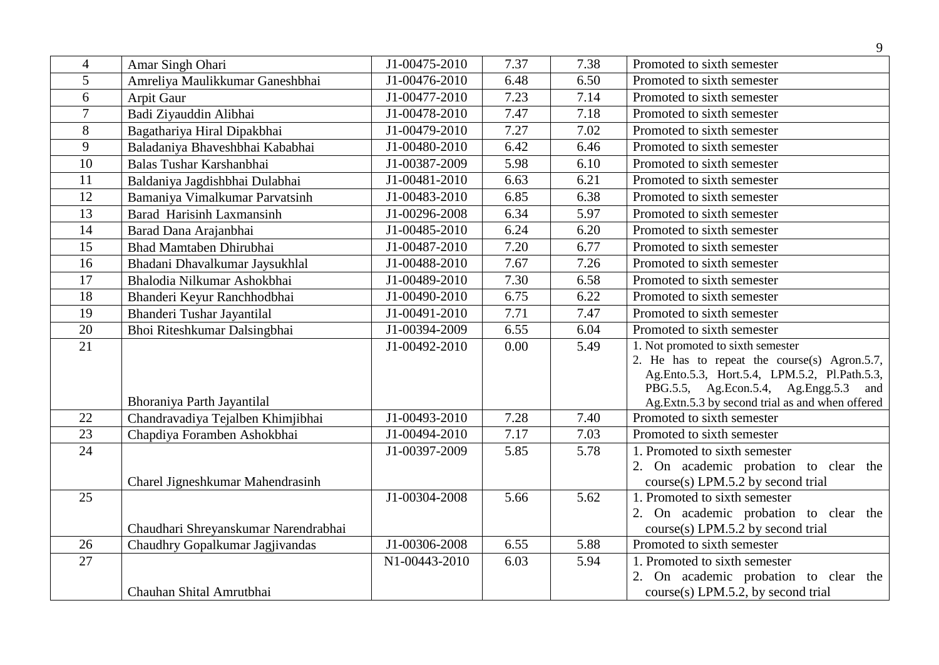|                 |                                      |                             |      |      | 9                                                                                                                                                                                                                                 |
|-----------------|--------------------------------------|-----------------------------|------|------|-----------------------------------------------------------------------------------------------------------------------------------------------------------------------------------------------------------------------------------|
| $\overline{4}$  | Amar Singh Ohari                     | J1-00475-2010               | 7.37 | 7.38 | Promoted to sixth semester                                                                                                                                                                                                        |
| 5               | Amreliya Maulikkumar Ganeshbhai      | J1-00476-2010               | 6.48 | 6.50 | Promoted to sixth semester                                                                                                                                                                                                        |
| 6               | Arpit Gaur                           | J1-00477-2010               | 7.23 | 7.14 | Promoted to sixth semester                                                                                                                                                                                                        |
| $\overline{7}$  | Badi Ziyauddin Alibhai               | J1-00478-2010               | 7.47 | 7.18 | Promoted to sixth semester                                                                                                                                                                                                        |
| 8               | Bagathariya Hiral Dipakbhai          | J1-00479-2010               | 7.27 | 7.02 | Promoted to sixth semester                                                                                                                                                                                                        |
| 9               | Baladaniya Bhaveshbhai Kababhai      | J1-00480-2010               | 6.42 | 6.46 | Promoted to sixth semester                                                                                                                                                                                                        |
| 10              | Balas Tushar Karshanbhai             | J1-00387-2009               | 5.98 | 6.10 | Promoted to sixth semester                                                                                                                                                                                                        |
| 11              | Baldaniya Jagdishbhai Dulabhai       | J1-00481-2010               | 6.63 | 6.21 | Promoted to sixth semester                                                                                                                                                                                                        |
| 12              | Bamaniya Vimalkumar Parvatsinh       | J1-00483-2010               | 6.85 | 6.38 | Promoted to sixth semester                                                                                                                                                                                                        |
| 13              | <b>Barad Harisinh Laxmansinh</b>     | J1-00296-2008               | 6.34 | 5.97 | Promoted to sixth semester                                                                                                                                                                                                        |
| 14              | Barad Dana Arajanbhai                | J1-00485-2010               | 6.24 | 6.20 | Promoted to sixth semester                                                                                                                                                                                                        |
| 15              | <b>Bhad Mamtaben Dhirubhai</b>       | $\overline{J1}$ -00487-2010 | 7.20 | 6.77 | Promoted to sixth semester                                                                                                                                                                                                        |
| 16              | Bhadani Dhavalkumar Jaysukhlal       | J1-00488-2010               | 7.67 | 7.26 | Promoted to sixth semester                                                                                                                                                                                                        |
| 17              | Bhalodia Nilkumar Ashokbhai          | J1-00489-2010               | 7.30 | 6.58 | Promoted to sixth semester                                                                                                                                                                                                        |
| 18              | Bhanderi Keyur Ranchhodbhai          | J1-00490-2010               | 6.75 | 6.22 | Promoted to sixth semester                                                                                                                                                                                                        |
| 19              | Bhanderi Tushar Jayantilal           | J1-00491-2010               | 7.71 | 7.47 | Promoted to sixth semester                                                                                                                                                                                                        |
| $\overline{20}$ | Bhoi Riteshkumar Dalsingbhai         | J1-00394-2009               | 6.55 | 6.04 | Promoted to sixth semester                                                                                                                                                                                                        |
| 21              | Bhoraniya Parth Jayantilal           | J1-00492-2010               | 0.00 | 5.49 | 1. Not promoted to sixth semester<br>2. He has to repeat the course(s) Agron. $5.7$ ,<br>Ag.Ento.5.3, Hort.5.4, LPM.5.2, Pl.Path.5.3,<br>PBG.5.5, Ag.Econ.5.4, Ag.Engg.5.3 and<br>Ag.Extn.5.3 by second trial as and when offered |
| 22              | Chandravadiya Tejalben Khimjibhai    | J1-00493-2010               | 7.28 | 7.40 | Promoted to sixth semester                                                                                                                                                                                                        |
| 23              | Chapdiya Foramben Ashokbhai          | J1-00494-2010               | 7.17 | 7.03 | Promoted to sixth semester                                                                                                                                                                                                        |
| 24              | Charel Jigneshkumar Mahendrasinh     | J1-00397-2009               | 5.85 | 5.78 | 1. Promoted to sixth semester<br>2. On academic probation to clear the<br>course(s) LPM.5.2 by second trial                                                                                                                       |
| 25              | Chaudhari Shreyanskumar Narendrabhai | J1-00304-2008               | 5.66 | 5.62 | 1. Promoted to sixth semester<br>2. On academic probation to clear the<br>$course(s)$ LPM.5.2 by second trial                                                                                                                     |
| 26              | Chaudhry Gopalkumar Jagjivandas      | J1-00306-2008               | 6.55 | 5.88 | Promoted to sixth semester                                                                                                                                                                                                        |
| $\overline{27}$ | Chauhan Shital Amrutbhai             | N1-00443-2010               | 6.03 | 5.94 | 1. Promoted to sixth semester<br>2. On academic probation to clear the<br>course(s) LPM.5.2, by second trial                                                                                                                      |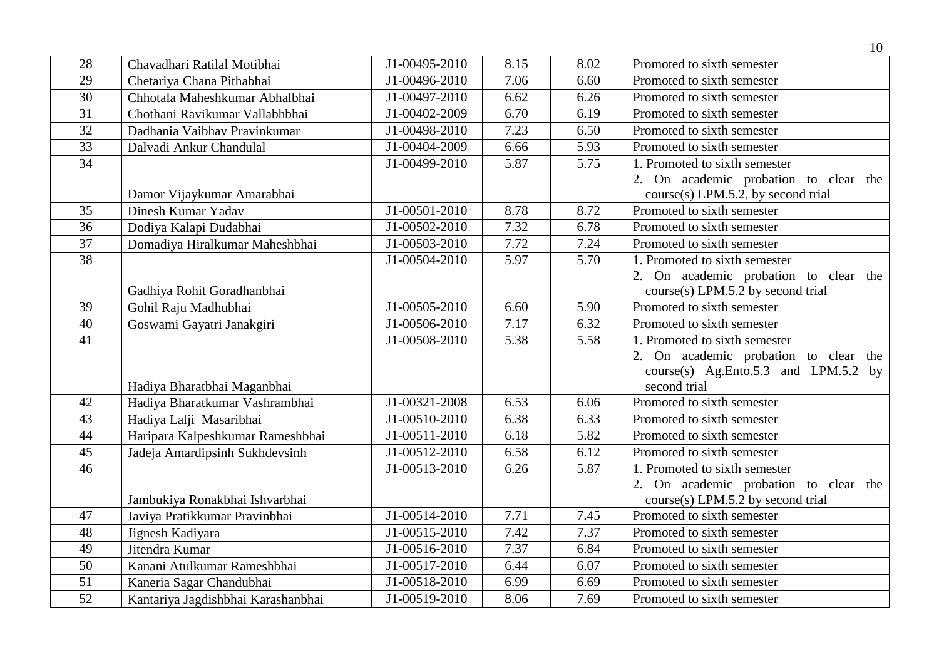|                 |                                    |               |      |      | 10                                                                          |
|-----------------|------------------------------------|---------------|------|------|-----------------------------------------------------------------------------|
| 28              | Chavadhari Ratilal Motibhai        | J1-00495-2010 | 8.15 | 8.02 | Promoted to sixth semester                                                  |
| 29              | Chetariya Chana Pithabhai          | J1-00496-2010 | 7.06 | 6.60 | Promoted to sixth semester                                                  |
| 30              | Chhotala Maheshkumar Abhalbhai     | J1-00497-2010 | 6.62 | 6.26 | Promoted to sixth semester                                                  |
| $\overline{31}$ | Chothani Ravikumar Vallabhbhai     | J1-00402-2009 | 6.70 | 6.19 | Promoted to sixth semester                                                  |
| $\overline{32}$ | Dadhania Vaibhav Pravinkumar       | J1-00498-2010 | 7.23 | 6.50 | Promoted to sixth semester                                                  |
| $\overline{33}$ | Dalvadi Ankur Chandulal            | J1-00404-2009 | 6.66 | 5.93 | Promoted to sixth semester                                                  |
| $\overline{34}$ |                                    | J1-00499-2010 | 5.87 | 5.75 | 1. Promoted to sixth semester                                               |
|                 | Damor Vijaykumar Amarabhai         |               |      |      | 2. On academic probation to clear the<br>course(s) LPM.5.2, by second trial |
| 35              | Dinesh Kumar Yadav                 | J1-00501-2010 | 8.78 | 8.72 | Promoted to sixth semester                                                  |
| $\overline{36}$ | Dodiya Kalapi Dudabhai             | J1-00502-2010 | 7.32 | 6.78 | Promoted to sixth semester                                                  |
| 37              | Domadiya Hiralkumar Maheshbhai     | J1-00503-2010 | 7.72 | 7.24 | Promoted to sixth semester                                                  |
| $\overline{38}$ |                                    | J1-00504-2010 | 5.97 | 5.70 | 1. Promoted to sixth semester                                               |
|                 |                                    |               |      |      | 2. On academic probation to clear the                                       |
|                 | Gadhiya Rohit Goradhanbhai         |               |      |      | $course(s)$ LPM.5.2 by second trial                                         |
| 39              | Gohil Raju Madhubhai               | J1-00505-2010 | 6.60 | 5.90 | Promoted to sixth semester                                                  |
| 40              | Goswami Gayatri Janakgiri          | J1-00506-2010 | 7.17 | 6.32 | Promoted to sixth semester                                                  |
| $\overline{41}$ |                                    | J1-00508-2010 | 5.38 | 5.58 | 1. Promoted to sixth semester                                               |
|                 |                                    |               |      |      | 2. On academic probation to clear the                                       |
|                 |                                    |               |      |      | course(s) Ag.Ento.5.3 and LPM.5.2 by                                        |
|                 | Hadiya Bharatbhai Maganbhai        |               |      |      | second trial                                                                |
| 42              | Hadiya Bharatkumar Vashrambhai     | J1-00321-2008 | 6.53 | 6.06 | Promoted to sixth semester                                                  |
| 43              | Hadiya Lalji Masaribhai            | J1-00510-2010 | 6.38 | 6.33 | Promoted to sixth semester                                                  |
| 44              | Haripara Kalpeshkumar Rameshbhai   | J1-00511-2010 | 6.18 | 5.82 | Promoted to sixth semester                                                  |
| 45              | Jadeja Amardipsinh Sukhdevsinh     | J1-00512-2010 | 6.58 | 6.12 | Promoted to sixth semester                                                  |
| 46              |                                    | J1-00513-2010 | 6.26 | 5.87 | 1. Promoted to sixth semester                                               |
|                 |                                    |               |      |      | 2. On academic probation to clear the                                       |
|                 | Jambukiya Ronakbhai Ishvarbhai     |               |      |      | $course(s)$ LPM.5.2 by second trial                                         |
| 47              | Javiya Pratikkumar Pravinbhai      | J1-00514-2010 | 7.71 | 7.45 | Promoted to sixth semester                                                  |
| 48              | Jignesh Kadiyara                   | J1-00515-2010 | 7.42 | 7.37 | Promoted to sixth semester                                                  |
| 49              | Jitendra Kumar                     | J1-00516-2010 | 7.37 | 6.84 | Promoted to sixth semester                                                  |
| 50              | Kanani Atulkumar Rameshbhai        | J1-00517-2010 | 6.44 | 6.07 | Promoted to sixth semester                                                  |
| 51              | Kaneria Sagar Chandubhai           | J1-00518-2010 | 6.99 | 6.69 | Promoted to sixth semester                                                  |
| $\overline{52}$ | Kantariya Jagdishbhai Karashanbhai | J1-00519-2010 | 8.06 | 7.69 | Promoted to sixth semester                                                  |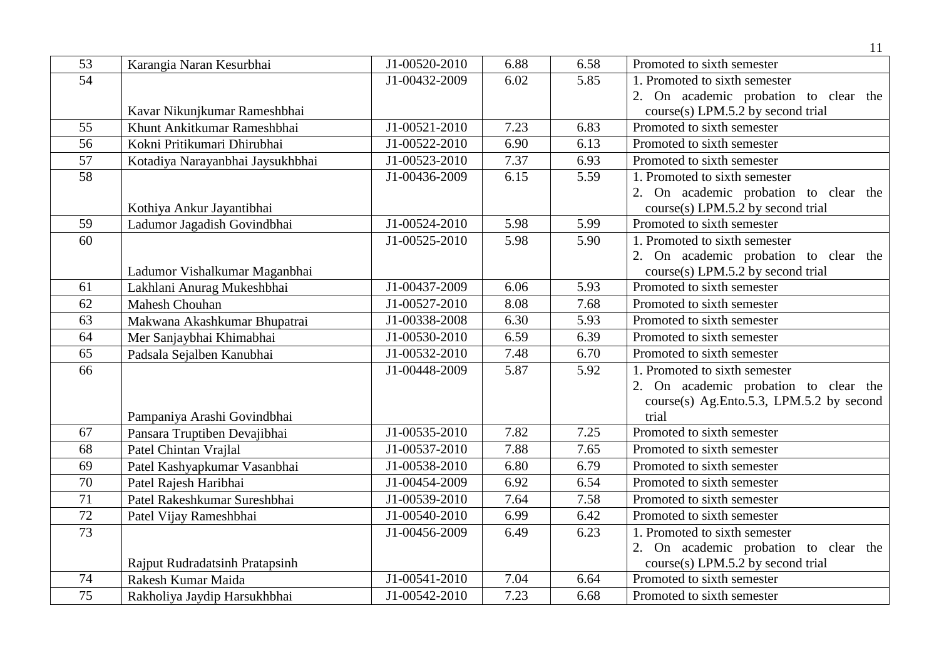|                 |                                  |               |      |      | 11                                       |
|-----------------|----------------------------------|---------------|------|------|------------------------------------------|
| 53              | Karangia Naran Kesurbhai         | J1-00520-2010 | 6.88 | 6.58 | Promoted to sixth semester               |
| 54              |                                  | J1-00432-2009 | 6.02 | 5.85 | 1. Promoted to sixth semester            |
|                 |                                  |               |      |      | 2. On academic probation to clear the    |
|                 | Kavar Nikunjkumar Rameshbhai     |               |      |      | course(s) LPM.5.2 by second trial        |
| 55              | Khunt Ankitkumar Rameshbhai      | J1-00521-2010 | 7.23 | 6.83 | Promoted to sixth semester               |
| 56              | Kokni Pritikumari Dhirubhai      | J1-00522-2010 | 6.90 | 6.13 | Promoted to sixth semester               |
| 57              | Kotadiya Narayanbhai Jaysukhbhai | J1-00523-2010 | 7.37 | 6.93 | Promoted to sixth semester               |
| $\overline{58}$ |                                  | J1-00436-2009 | 6.15 | 5.59 | 1. Promoted to sixth semester            |
|                 |                                  |               |      |      | 2. On academic probation to clear the    |
|                 | Kothiya Ankur Jayantibhai        |               |      |      | $course(s)$ LPM.5.2 by second trial      |
| 59              | Ladumor Jagadish Govindbhai      | J1-00524-2010 | 5.98 | 5.99 | Promoted to sixth semester               |
| 60              |                                  | J1-00525-2010 | 5.98 | 5.90 | 1. Promoted to sixth semester            |
|                 |                                  |               |      |      | 2. On academic probation to clear the    |
|                 | Ladumor Vishalkumar Maganbhai    |               |      |      | $course(s)$ LPM.5.2 by second trial      |
| 61              | Lakhlani Anurag Mukeshbhai       | J1-00437-2009 | 6.06 | 5.93 | Promoted to sixth semester               |
| 62              | <b>Mahesh Chouhan</b>            | J1-00527-2010 | 8.08 | 7.68 | Promoted to sixth semester               |
| 63              | Makwana Akashkumar Bhupatrai     | J1-00338-2008 | 6.30 | 5.93 | Promoted to sixth semester               |
| 64              | Mer Sanjaybhai Khimabhai         | J1-00530-2010 | 6.59 | 6.39 | Promoted to sixth semester               |
| 65              | Padsala Sejalben Kanubhai        | J1-00532-2010 | 7.48 | 6.70 | Promoted to sixth semester               |
| 66              |                                  | J1-00448-2009 | 5.87 | 5.92 | 1. Promoted to sixth semester            |
|                 |                                  |               |      |      | 2. On academic probation to clear the    |
|                 |                                  |               |      |      | course(s) Ag.Ento.5.3, LPM.5.2 by second |
|                 | Pampaniya Arashi Govindbhai      |               |      |      | trial                                    |
| 67              | Pansara Truptiben Devajibhai     | J1-00535-2010 | 7.82 | 7.25 | Promoted to sixth semester               |
| 68              | Patel Chintan Vrajlal            | J1-00537-2010 | 7.88 | 7.65 | Promoted to sixth semester               |
| 69              | Patel Kashyapkumar Vasanbhai     | J1-00538-2010 | 6.80 | 6.79 | Promoted to sixth semester               |
| 70              | Patel Rajesh Haribhai            | J1-00454-2009 | 6.92 | 6.54 | Promoted to sixth semester               |
| 71              | Patel Rakeshkumar Sureshbhai     | J1-00539-2010 | 7.64 | 7.58 | Promoted to sixth semester               |
| $\overline{72}$ | Patel Vijay Rameshbhai           | J1-00540-2010 | 6.99 | 6.42 | Promoted to sixth semester               |
| $\overline{73}$ |                                  | J1-00456-2009 | 6.49 | 6.23 | 1. Promoted to sixth semester            |
|                 |                                  |               |      |      | 2. On academic probation to clear the    |
|                 | Rajput Rudradatsinh Pratapsinh   |               |      |      | course(s) LPM.5.2 by second trial        |
| 74              | Rakesh Kumar Maida               | J1-00541-2010 | 7.04 | 6.64 | Promoted to sixth semester               |
| 75              | Rakholiya Jaydip Harsukhbhai     | J1-00542-2010 | 7.23 | 6.68 | Promoted to sixth semester               |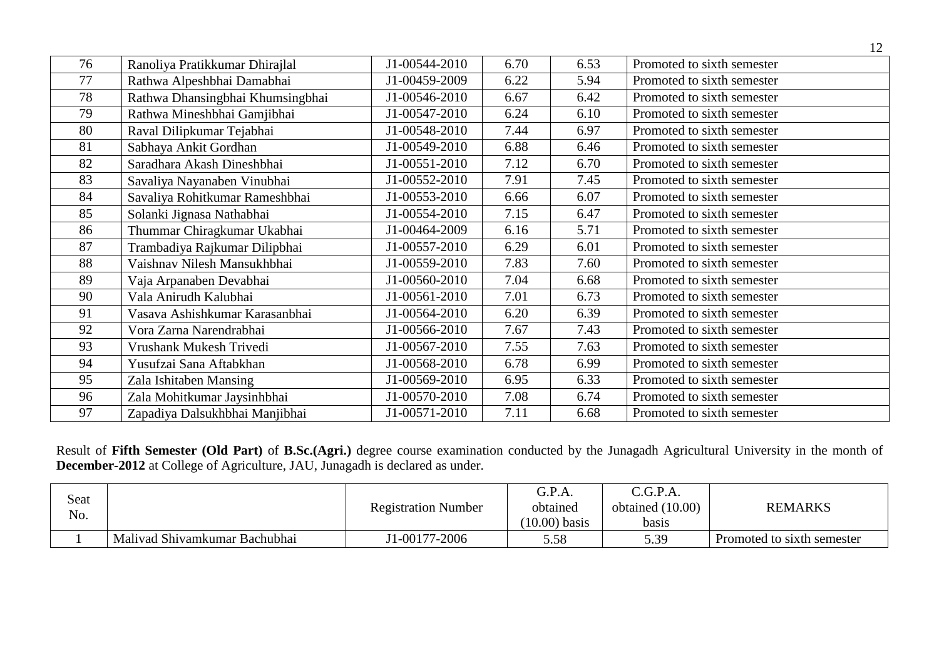| 76 | Ranoliya Pratikkumar Dhirajlal   | J1-00544-2010 | 6.70 | 6.53 | Promoted to sixth semester |
|----|----------------------------------|---------------|------|------|----------------------------|
| 77 | Rathwa Alpeshbhai Damabhai       | J1-00459-2009 | 6.22 | 5.94 | Promoted to sixth semester |
| 78 | Rathwa Dhansingbhai Khumsingbhai | J1-00546-2010 | 6.67 | 6.42 | Promoted to sixth semester |
| 79 | Rathwa Mineshbhai Gamjibhai      | J1-00547-2010 | 6.24 | 6.10 | Promoted to sixth semester |
| 80 | Raval Dilipkumar Tejabhai        | J1-00548-2010 | 7.44 | 6.97 | Promoted to sixth semester |
| 81 | Sabhaya Ankit Gordhan            | J1-00549-2010 | 6.88 | 6.46 | Promoted to sixth semester |
| 82 | Saradhara Akash Dineshbhai       | J1-00551-2010 | 7.12 | 6.70 | Promoted to sixth semester |
| 83 | Savaliya Nayanaben Vinubhai      | J1-00552-2010 | 7.91 | 7.45 | Promoted to sixth semester |
| 84 | Savaliya Rohitkumar Rameshbhai   | J1-00553-2010 | 6.66 | 6.07 | Promoted to sixth semester |
| 85 | Solanki Jignasa Nathabhai        | J1-00554-2010 | 7.15 | 6.47 | Promoted to sixth semester |
| 86 | Thummar Chiragkumar Ukabhai      | J1-00464-2009 | 6.16 | 5.71 | Promoted to sixth semester |
| 87 | Trambadiya Rajkumar Dilipbhai    | J1-00557-2010 | 6.29 | 6.01 | Promoted to sixth semester |
| 88 | Vaishnav Nilesh Mansukhbhai      | J1-00559-2010 | 7.83 | 7.60 | Promoted to sixth semester |
| 89 | Vaja Arpanaben Devabhai          | J1-00560-2010 | 7.04 | 6.68 | Promoted to sixth semester |
| 90 | Vala Anirudh Kalubhai            | J1-00561-2010 | 7.01 | 6.73 | Promoted to sixth semester |
| 91 | Vasava Ashishkumar Karasanbhai   | J1-00564-2010 | 6.20 | 6.39 | Promoted to sixth semester |
| 92 | Vora Zarna Narendrabhai          | J1-00566-2010 | 7.67 | 7.43 | Promoted to sixth semester |
| 93 | Vrushank Mukesh Trivedi          | J1-00567-2010 | 7.55 | 7.63 | Promoted to sixth semester |
| 94 | Yusufzai Sana Aftabkhan          | J1-00568-2010 | 6.78 | 6.99 | Promoted to sixth semester |
| 95 | Zala Ishitaben Mansing           | J1-00569-2010 | 6.95 | 6.33 | Promoted to sixth semester |
| 96 | Zala Mohitkumar Jaysinhbhai      | J1-00570-2010 | 7.08 | 6.74 | Promoted to sixth semester |
| 97 | Zapadiya Dalsukhbhai Manjibhai   | J1-00571-2010 | 7.11 | 6.68 | Promoted to sixth semester |

Result of **Fifth Semester (Old Part)** of **B.Sc.(Agri.)** degree course examination conducted by the Junagadh Agricultural University in the month of **December-2012** at College of Agriculture, JAU, Junagadh is declared as under.

| Seat<br>No. |                               | <b>Registration Number</b> | G.P.A.<br>obtained<br>$(10.00)$ basis | C.G.P.A.<br>obtained $(10.00)$<br>basis | <b>REMARKS</b>             |
|-------------|-------------------------------|----------------------------|---------------------------------------|-----------------------------------------|----------------------------|
|             | Malivad Shivamkumar Bachubhai | J1-00177-2006              | 5.58                                  | 5.39                                    | Promoted to sixth semester |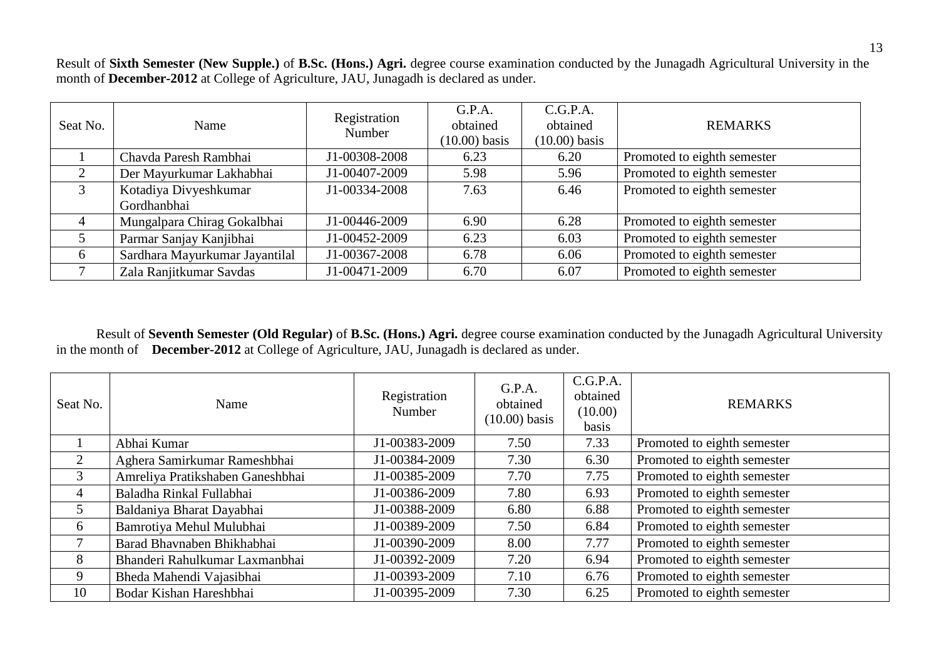Result of **Sixth Semester (New Supple.)** of **B.Sc. (Hons.) Agri.** degree course examination conducted by the Junagadh Agricultural University in the month of **December-2012** at College of Agriculture, JAU, Junagadh is declared as under.

| Seat No.      | Name                           | Registration<br>Number | G.P.A.<br>obtained<br>$(10.00)$ basis | C.G.P.A.<br>obtained<br>$(10.00)$ basis | <b>REMARKS</b>              |
|---------------|--------------------------------|------------------------|---------------------------------------|-----------------------------------------|-----------------------------|
|               | Chavda Paresh Rambhai          | J1-00308-2008          | 6.23                                  | 6.20                                    | Promoted to eighth semester |
|               | Der Mayurkumar Lakhabhai       | J1-00407-2009          | 5.98                                  | 5.96                                    | Promoted to eighth semester |
| $\mathcal{F}$ | Kotadiya Divyeshkumar          | J1-00334-2008          | 7.63                                  | 6.46                                    | Promoted to eighth semester |
|               | Gordhanbhai                    |                        |                                       |                                         |                             |
|               | Mungalpara Chirag Gokalbhai    | J1-00446-2009          | 6.90                                  | 6.28                                    | Promoted to eighth semester |
|               | Parmar Sanjay Kanjibhai        | J1-00452-2009          | 6.23                                  | 6.03                                    | Promoted to eighth semester |
| 6             | Sardhara Mayurkumar Jayantilal | J1-00367-2008          | 6.78                                  | 6.06                                    | Promoted to eighth semester |
|               | Zala Ranjitkumar Savdas        | J1-00471-2009          | 6.70                                  | 6.07                                    | Promoted to eighth semester |

Result of **Seventh Semester (Old Regular)** of **B.Sc. (Hons.) Agri.** degree course examination conducted by the Junagadh Agricultural University in the month of **December-2012** at College of Agriculture, JAU, Junagadh is declared as under.

| Seat No. | Name                             | Registration<br>Number | G.P.A.<br>obtained<br>$(10.00)$ basis | C.G.P.A.<br>obtained<br>(10.00)<br>basis | <b>REMARKS</b>              |
|----------|----------------------------------|------------------------|---------------------------------------|------------------------------------------|-----------------------------|
|          | Abhai Kumar                      | J1-00383-2009          | 7.50                                  | 7.33                                     | Promoted to eighth semester |
| 2        | Aghera Samirkumar Rameshbhai     | J1-00384-2009          | 7.30                                  | 6.30                                     | Promoted to eighth semester |
| 3        | Amreliya Pratikshaben Ganeshbhai | J1-00385-2009          | 7.70                                  | 7.75                                     | Promoted to eighth semester |
| 4        | Baladha Rinkal Fullabhai         | J1-00386-2009          | 7.80                                  | 6.93                                     | Promoted to eighth semester |
| 5        | Baldaniya Bharat Dayabhai        | J1-00388-2009          | 6.80                                  | 6.88                                     | Promoted to eighth semester |
| 6        | Bamrotiya Mehul Mulubhai         | J1-00389-2009          | 7.50                                  | 6.84                                     | Promoted to eighth semester |
| $\tau$   | Barad Bhavnaben Bhikhabhai       | J1-00390-2009          | 8.00                                  | 7.77                                     | Promoted to eighth semester |
| 8        | Bhanderi Rahulkumar Laxmanbhai   | J1-00392-2009          | 7.20                                  | 6.94                                     | Promoted to eighth semester |
| 9        | Bheda Mahendi Vajasibhai         | J1-00393-2009          | 7.10                                  | 6.76                                     | Promoted to eighth semester |
| 10       | Bodar Kishan Hareshbhai          | J1-00395-2009          | 7.30                                  | 6.25                                     | Promoted to eighth semester |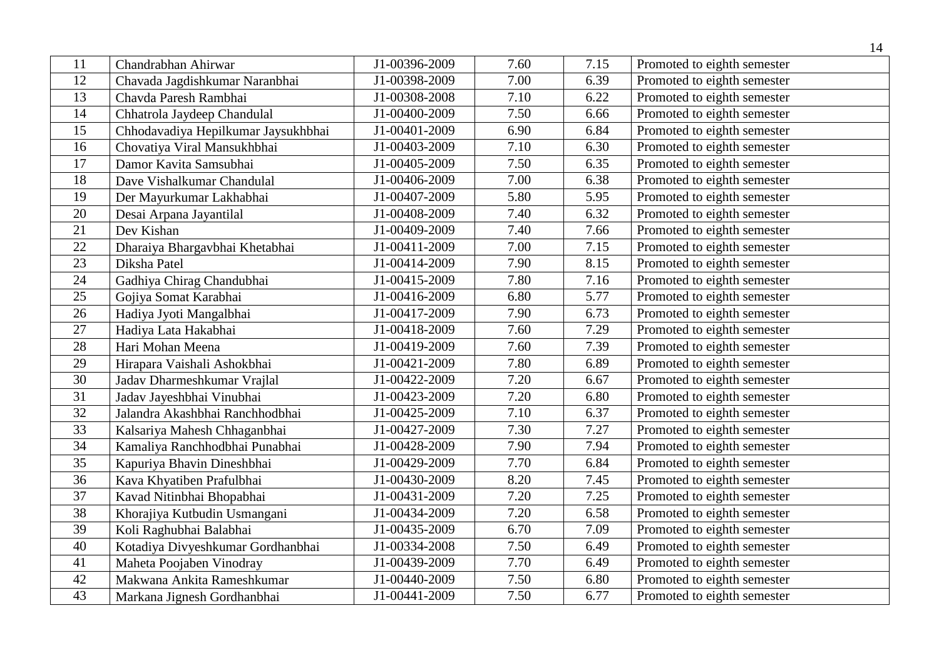|                 |                                     |               |      |      | 14                          |
|-----------------|-------------------------------------|---------------|------|------|-----------------------------|
| 11              | Chandrabhan Ahirwar                 | J1-00396-2009 | 7.60 | 7.15 | Promoted to eighth semester |
| 12              | Chavada Jagdishkumar Naranbhai      | J1-00398-2009 | 7.00 | 6.39 | Promoted to eighth semester |
| 13              | Chavda Paresh Rambhai               | J1-00308-2008 | 7.10 | 6.22 | Promoted to eighth semester |
| 14              | Chhatrola Jaydeep Chandulal         | J1-00400-2009 | 7.50 | 6.66 | Promoted to eighth semester |
| 15              | Chhodavadiya Hepilkumar Jaysukhbhai | J1-00401-2009 | 6.90 | 6.84 | Promoted to eighth semester |
| 16              | Chovatiya Viral Mansukhbhai         | J1-00403-2009 | 7.10 | 6.30 | Promoted to eighth semester |
| 17              | Damor Kavita Samsubhai              | J1-00405-2009 | 7.50 | 6.35 | Promoted to eighth semester |
| 18              | Dave Vishalkumar Chandulal          | J1-00406-2009 | 7.00 | 6.38 | Promoted to eighth semester |
| 19              | Der Mayurkumar Lakhabhai            | J1-00407-2009 | 5.80 | 5.95 | Promoted to eighth semester |
| 20              | Desai Arpana Jayantilal             | J1-00408-2009 | 7.40 | 6.32 | Promoted to eighth semester |
| 21              | Dev Kishan                          | J1-00409-2009 | 7.40 | 7.66 | Promoted to eighth semester |
| 22              | Dharaiya Bhargavbhai Khetabhai      | J1-00411-2009 | 7.00 | 7.15 | Promoted to eighth semester |
| 23              | Diksha Patel                        | J1-00414-2009 | 7.90 | 8.15 | Promoted to eighth semester |
| 24              | Gadhiya Chirag Chandubhai           | J1-00415-2009 | 7.80 | 7.16 | Promoted to eighth semester |
| 25              | Gojiya Somat Karabhai               | J1-00416-2009 | 6.80 | 5.77 | Promoted to eighth semester |
| 26              | Hadiya Jyoti Mangalbhai             | J1-00417-2009 | 7.90 | 6.73 | Promoted to eighth semester |
| 27              | Hadiya Lata Hakabhai                | J1-00418-2009 | 7.60 | 7.29 | Promoted to eighth semester |
| 28              | Hari Mohan Meena                    | J1-00419-2009 | 7.60 | 7.39 | Promoted to eighth semester |
| 29              | Hirapara Vaishali Ashokbhai         | J1-00421-2009 | 7.80 | 6.89 | Promoted to eighth semester |
| $\overline{30}$ | Jadav Dharmeshkumar Vrajlal         | J1-00422-2009 | 7.20 | 6.67 | Promoted to eighth semester |
| 31              | Jadav Jayeshbhai Vinubhai           | J1-00423-2009 | 7.20 | 6.80 | Promoted to eighth semester |
| 32              | Jalandra Akashbhai Ranchhodbhai     | J1-00425-2009 | 7.10 | 6.37 | Promoted to eighth semester |
| $\overline{33}$ | Kalsariya Mahesh Chhaganbhai        | J1-00427-2009 | 7.30 | 7.27 | Promoted to eighth semester |
| 34              | Kamaliya Ranchhodbhai Punabhai      | J1-00428-2009 | 7.90 | 7.94 | Promoted to eighth semester |
| 35              | Kapuriya Bhavin Dineshbhai          | J1-00429-2009 | 7.70 | 6.84 | Promoted to eighth semester |
| 36              | Kava Khyatiben Prafulbhai           | J1-00430-2009 | 8.20 | 7.45 | Promoted to eighth semester |
| 37              | Kavad Nitinbhai Bhopabhai           | J1-00431-2009 | 7.20 | 7.25 | Promoted to eighth semester |
| 38              | Khorajiya Kutbudin Usmangani        | J1-00434-2009 | 7.20 | 6.58 | Promoted to eighth semester |
| 39              | Koli Raghubhai Balabhai             | J1-00435-2009 | 6.70 | 7.09 | Promoted to eighth semester |
| 40              | Kotadiya Divyeshkumar Gordhanbhai   | J1-00334-2008 | 7.50 | 6.49 | Promoted to eighth semester |
| 41              | Maheta Poojaben Vinodray            | J1-00439-2009 | 7.70 | 6.49 | Promoted to eighth semester |
| 42              | Makwana Ankita Rameshkumar          | J1-00440-2009 | 7.50 | 6.80 | Promoted to eighth semester |
| 43              | Markana Jignesh Gordhanbhai         | J1-00441-2009 | 7.50 | 6.77 | Promoted to eighth semester |